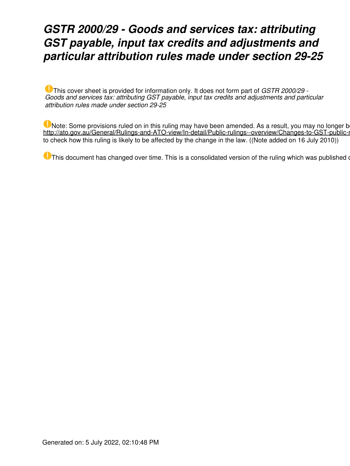### *GSTR 2000/29 - Goods and services tax: attributing GST payable, input tax credits and adjustments and particular attribution rules made under section 29-25*

This cover sheet is provided for information only. It does not form part of *GSTR 2000/29 - Goods and services tax: attributing GST payable, input tax credits and adjustments and particular attribution rules made under section 29-25*

Note: Some provisions ruled on in this ruling may have been amended. As a result, you may no longer b http://ato.gov.au/General/Rulings-and-ATO-view/In-detail/Public-rulings--overview/Changes-to-GST-public-r to check how this ruling is likely to be affected by the change in the law. ((Note added on 16 July 2010))

 $\blacksquare$  This document has changed over time. This is a consolidated version of the ruling which was published on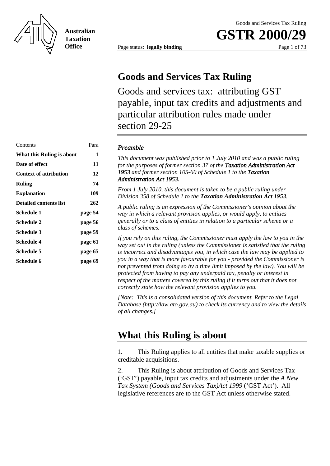

**Australian Taxation Office**

**GSTR 2000** 

Page status: **legally binding** Page 1 of 73

### **Goods and Services Tax Ruling**

Goods and services tax: attributing GST payable, input tax credits and adjustments and particular attribution rules made under section 29-25

### Contents Para *Preamble*  **Date of effect** 11 **Context of attribution 12 Ruling 74 Explanation 109 Schedule 1 page 54 Schedule 2 page 56 Schedule 3 page 59 Schedule 4 page 61 Schedule 5 page 65 Schedule 6 page 69**

**What this Ruling is about** 1 *This document was published prior to 1 July 2010 and was a public ruling for the purposes of former section 37 of the Taxation Administration Act 1953 and former section 105-60 of Schedule 1 to the Taxation Administration Act 1953.* 

> From 1 July 2010, this document is taken to be a public ruling under *Division 35 8 of Schedule 1 to the Taxation Administration Act 1953.*

**Detailed contents list 262** *A public ruling is an expression of the Commissioner's opinion about the way in which a relevant provision applies, or would apply, to entities generally or to a class of entities in relation to a particular scheme or a class of schemes.* 

> *If you rely on this ruling, the Commissioner must apply the law to you in the way set out in the ruling (unless the Commissioner is satisfied that the ruling is incorrect and disadvantages you, in which case the law may be applied to you in a way that is more favourable for you - provided the Commissioner is not prevented from doing so by a time limit imposed by the law). You will be protected from having to pay any underpaid tax, penalty or interest in respect of the matters covered by this ruling if it turns out that it does not correctly state how the relevant provision applies to you.*

> *[Note: This is a consolidated version of this document. Refer to the Legal Database (http://law.ato.gov.au) to check its currency and to view the details of all changes.]*

### **What this Ruling is about**

1. This Ruling applies to all entities that make taxable supplies or creditable acquisitions.

2. This Ruling is about attribution of Goods and Services Tax ('GST') payable, input tax credits and adjustments under the *A New Tax System (Goods and Services Tax)Act 1999* ('GST Act'). All legislative references are to the GST Act unless otherwise stated.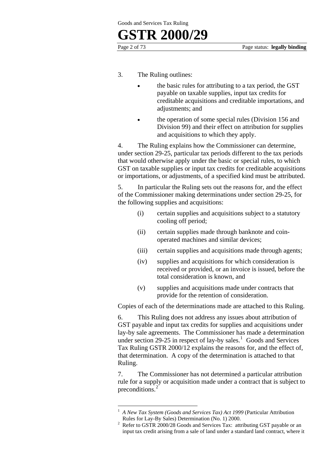1

- 3. The Ruling outlines:
	- the basic rules for attributing to a tax period, the GST payable on taxable supplies, input tax credits for creditable acquisitions and creditable importations, and adjustments; and
	- the operation of some special rules (Division 156 and Division 99) and their effect on attribution for supplies and acquisitions to which they apply.

4. The Ruling explains how the Commissioner can determine, under section 29-25, particular tax periods different to the tax periods that would otherwise apply under the basic or special rules, to which GST on taxable supplies or input tax credits for creditable acquisitions or importations, or adjustments, of a specified kind must be attributed.

5. In particular the Ruling sets out the reasons for, and the effect of the Commissioner making determinations under section 29-25, for the following supplies and acquisitions:

- (i) certain supplies and acquisitions subject to a statutory cooling off period;
- (ii) certain supplies made through banknote and coinoperated machines and similar devices;
- (iii) certain supplies and acquisitions made through agents;
- (iv) supplies and acquisitions for which consideration is received or provided, or an invoice is issued, before the total consideration is known, and
- (v) supplies and acquisitions made under contracts that provide for the retention of consideration.

Copies of each of the determinations made are attached to this Ruling.

6. This Ruling does not address any issues about attribution of GST payable and input tax credits for supplies and acquisitions under lay-by sale agreements. The Commissioner has made a determination under section  $29-25$  in respect of lay-by sales.<sup>1</sup> Goods and Services Tax Ruling GSTR 2000/12 explains the reasons for, and the effect of, that determination. A copy of the determination is attached to that Ruling.

7. The Commissioner has not determined a particular attribution rule for a supply or acquisition made under a contract that is subject to preconditions.<sup>2</sup>

<sup>1</sup> *A New Tax System (Goods and Services Tax) Act 1999* (Particular Attribution

Rules for Lay-By Sales) Determination (No. 1) 2000.<br><sup>2</sup> Refer to GSTR 2000/28 Goods and Services Tax: attributing GST payable or an input tax credit arising from a sale of land under a standard land contract, where it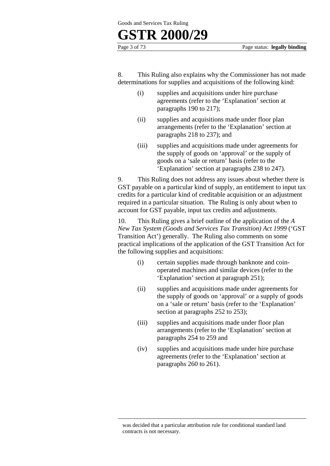

Page 3 of 73 Page status: **legally binding**

8. This Ruling also explains why the Commissioner has not made determinations for supplies and acquisitions of the following kind:

- (i) supplies and acquisitions under hire purchase agreements (refer to the 'Explanation' section at paragraphs 190 to 217);
- (ii) supplies and acquisitions made under floor plan arrangements (refer to the 'Explanation' section at paragraphs 218 to 237); and
- (iii) supplies and acquisitions made under agreements for the supply of goods on 'approval' or the supply of goods on a 'sale or return' basis (refer to the 'Explanation' section at paragraphs 238 to 247).

9. This Ruling does not address any issues about whether there is GST payable on a particular kind of supply, an entitlement to input tax credits for a particular kind of creditable acquisition or an adjustment required in a particular situation. The Ruling is only about when to account for GST payable, input tax credits and adjustments.

10. This Ruling gives a brief outline of the application of the *A New Tax System (Goods and Services Tax Transition) Act 1999* ('GST Transition Act') generally. The Ruling also comments on some practical implications of the application of the GST Transition Act for the following supplies and acquisitions:

- (i) certain supplies made through banknote and coinoperated machines and similar devices (refer to the 'Explanation' section at paragraph 251);
- (ii) supplies and acquisitions made under agreements for the supply of goods on 'approval' or a supply of goods on a 'sale or return' basis (refer to the 'Explanation' section at paragraphs 252 to 253);
- (iii) supplies and acquisitions made under floor plan arrangements (refer to the 'Explanation' section at paragraphs 254 to 259 and
- (iv) supplies and acquisitions made under hire purchase agreements (refer to the 'Explanation' section at paragraphs 260 to 261).

was decided that a particular attribution rule for conditional standard land contracts is not necessary.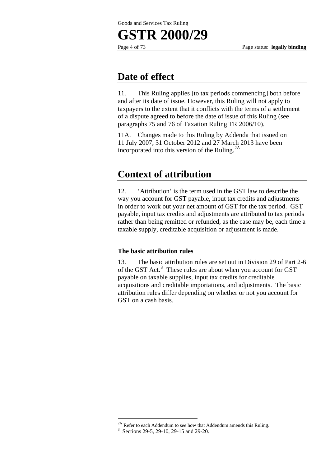Page 4 of 73 Page status: **legally binding**

### **Date of effect**

11. This Ruling applies [to tax periods commencing] both before and after its date of issue. However, this Ruling will not apply to taxpayers to the extent that it conflicts with the terms of a settlement of a dispute agreed to before the date of issue of this Ruling (see paragraphs 75 and 76 of Taxation Ruling TR 2006/10).

11A. Changes made to this Ruling by Addenda that issued on 11 July 2007, 31 October 2012 and 27 March 2013 have been incorporated into this version of the Ruling.2A

### **Context of attribution**

12. 'Attribution' is the term used in the GST law to describe the way you account for GST payable, input tax credits and adjustments in order to work out your net amount of GST for the tax period. GST payable, input tax credits and adjustments are attributed to tax periods rather than being remitted or refunded, as the case may be, each time a taxable supply, creditable acquisition or adjustment is made.

### **The basic attribution rules**

13. The basic attribution rules are set out in Division 29 of Part 2-6 of the GST Act.<sup>3</sup> These rules are about when you account for GST payable on taxable supplies, input tax credits for creditable acquisitions and creditable importations, and adjustments. The basic attribution rules differ depending on whether or not you account for GST on a cash basis.

<sup>&</sup>lt;sup>2A</sup> Refer to each Addendum to see how that Addendum amends this Ruling.

<sup>3</sup> Sections 29-5, 29-10, 29-15 and 29-20.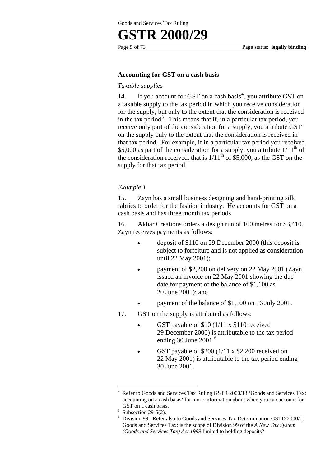

#### **Accounting for GST on a cash basis**

#### *Taxable supplies*

14. If you account for GST on a cash basis<sup>4</sup>, you attribute GST on a taxable supply to the tax period in which you receive consideration for the supply, but only to the extent that the consideration is received in the tax period<sup>5</sup>. This means that if, in a particular tax period, you receive only part of the consideration for a supply, you attribute GST on the supply only to the extent that the consideration is received in that tax period. For example, if in a particular tax period you received \$5,000 as part of the consideration for a supply, you attribute  $1/11^{th}$  of the consideration received, that is  $1/11<sup>th</sup>$  of \$5,000, as the GST on the supply for that tax period.

#### *Example 1*

15. Zayn has a small business designing and hand-printing silk fabrics to order for the fashion industry. He accounts for GST on a cash basis and has three month tax periods.

16. Akbar Creations orders a design run of 100 metres for \$3,410. Zayn receives payments as follows:

- deposit of \$110 on 29 December 2000 (this deposit is subject to forfeiture and is not applied as consideration until 22 May 2001);
- payment of \$2,200 on delivery on 22 May 2001 (Zayn issued an invoice on 22 May 2001 showing the due date for payment of the balance of \$1,100 as 20 June 2001); and
- payment of the balance of \$1,100 on 16 July 2001.
- 17. GST on the supply is attributed as follows:
	- GST payable of  $$10 (1/11 x $110$  received 29 December 2000) is attributable to the tax period ending 30 June 2001.<sup>6</sup>
	- GST payable of \$200 (1/11 x \$2,200 received on 22 May 2001) is attributable to the tax period ending 30 June 2001.

<sup>4</sup> Refer to Goods and Services Tax Ruling GSTR 2000/13 'Goods and Services Tax: accounting on a cash basis' for more information about when you can account for GST on a cash basis.

 $5$  Subsection 29-5(2).

<sup>6</sup> Division 99. Refer also to Goods and Services Tax Determination GSTD 2000/1, Goods and Services Tax: is the scope of Division 99 of the *A New Tax System (Goods and Services Tax) Act 1999* limited to holding deposits?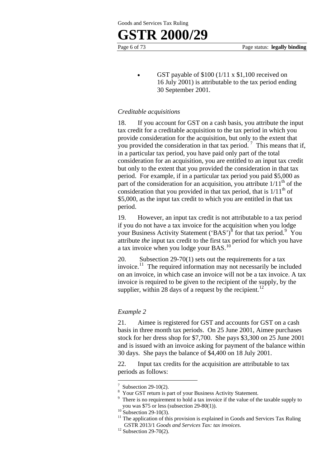### **GSTR 2000/29**

GST payable of  $$100 (1/11 \times $1,100$  received on 16 July 2001) is attributable to the tax period ending 30 September 2001.

#### *Creditable acquisitions*

18. If you account for GST on a cash basis, you attribute the input tax credit for a creditable acquisition to the tax period in which you provide consideration for the acquisition, but only to the extent that you provided the consideration in that tax period.<sup>7</sup> This means that if, in a particular tax period, you have paid only part of the total consideration for an acquisition, you are entitled to an input tax credit but only to the extent that you provided the consideration in that tax period. For example, if in a particular tax period you paid \$5,000 as part of the consideration for an acquisition, you attribute  $1/11<sup>th</sup>$  of the consideration that you provided in that tax period, that is  $1/11<sup>th</sup>$  of \$5,000, as the input tax credit to which you are entitled in that tax period.

19. However, an input tax credit is not attributable to a tax period if you do not have a tax invoice for the acquisition when you lodge your Business Activity Statement  $({BAS})^8$  for that tax period. You attribute *the* input tax credit to the first tax period for which you have a tax invoice when you lodge your BAS.<sup>10</sup>

20. Subsection 29-70(1) sets out the requirements for a tax invoice.<sup>11</sup> The required information may not necessarily be included on an invoice, in which case an invoice will not be a tax invoice. A tax invoice is required to be given to the recipient of the supply, by the supplier, within 28 days of a request by the recipient.<sup>12</sup>

#### *Example 2*

21. Aimee is registered for GST and accounts for GST on a cash basis in three month tax periods. On 25 June 2001, Aimee purchases stock for her dress shop for \$7,700. She pays \$3,300 on 25 June 2001 and is issued with an invoice asking for payment of the balance within 30 days. She pays the balance of \$4,400 on 18 July 2001.

22. Input tax credits for the acquisition are attributable to tax periods as follows:

<sup>7</sup> Subsection 29-10(2).

<sup>8</sup> Your GST return is part of your Business Activity Statement.

<sup>9</sup> There is no requirement to hold a tax invoice if the value of the taxable supply to you was \$75 or less (subsection 29-80(1)).<br><sup>10</sup> Subsection 29-10(3).

<sup>&</sup>lt;sup>11</sup> The application of this provision is explained in Goods and Services Tax Ruling GSTR 2013/1 *Goods and Services Tax: tax invoices*. 12 Subsection 29-70(2).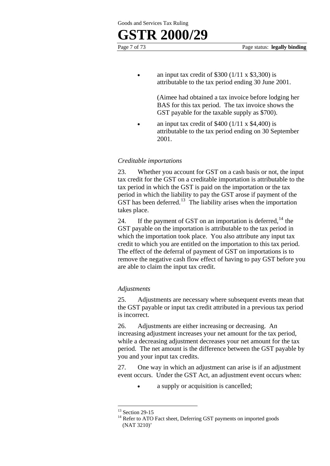an input tax credit of  $$300 (1/11 \times $3,300)$  is attributable to the tax period ending 30 June 2001.

> (Aimee had obtained a tax invoice before lodging her BAS for this tax period. The tax invoice shows the GST payable for the taxable supply as \$700).

• an input tax credit of  $$400 (1/11 \times $4,400)$  is attributable to the tax period ending on 30 September 2001.

#### *Creditable importations*

23. Whether you account for GST on a cash basis or not, the input tax credit for the GST on a creditable importation is attributable to the tax period in which the GST is paid on the importation or the tax period in which the liability to pay the GST arose if payment of the GST has been deferred.<sup>13</sup> The liability arises when the importation takes place.

24. If the payment of GST on an importation is deferred,  $^{14}$  the GST payable on the importation is attributable to the tax period in which the importation took place. You also attribute any input tax credit to which you are entitled on the importation to this tax period. The effect of the deferral of payment of GST on importations is to remove the negative cash flow effect of having to pay GST before you are able to claim the input tax credit.

#### *Adjustments*

25. Adjustments are necessary where subsequent events mean that the GST payable or input tax credit attributed in a previous tax period is incorrect.

26. Adjustments are either increasing or decreasing. An increasing adjustment increases your net amount for the tax period, while a decreasing adjustment decreases your net amount for the tax period. The net amount is the difference between the GST payable by you and your input tax credits.

27. One way in which an adjustment can arise is if an adjustment event occurs. Under the GST Act, an adjustment event occurs when:

• a supply or acquisition is cancelled;

<sup>&</sup>lt;sup>13</sup> Section 29-15

<sup>&</sup>lt;sup>14</sup> Refer to ATO Fact sheet, Deferring GST payments on imported goods (NAT 3210)'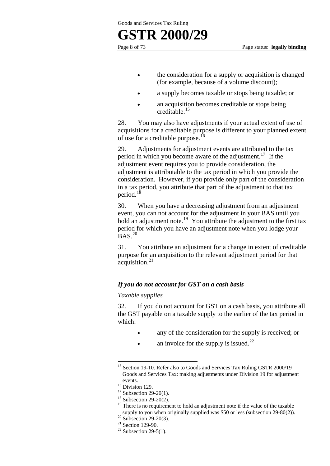### **GSTR 2000/29**

- the consideration for a supply or acquisition is changed (for example, because of a volume discount);
- a supply becomes taxable or stops being taxable; or
- an acquisition becomes creditable or stops being creditable.<sup>15</sup>

28. You may also have adjustments if your actual extent of use of acquisitions for a creditable purpose is different to your planned extent of use for a creditable purpose.<sup>16</sup>

29. Adjustments for adjustment events are attributed to the tax period in which you become aware of the adjustment.<sup>17</sup> If the adjustment event requires you to provide consideration, the adjustment is attributable to the tax period in which you provide the consideration. However, if you provide only part of the consideration in a tax period, you attribute that part of the adjustment to that tax period.<sup>1</sup>

30. When you have a decreasing adjustment from an adjustment event, you can not account for the adjustment in your BAS until you hold an adjustment note.<sup>19</sup> You attribute the adjustment to the first tax period for which you have an adjustment note when you lodge your  $BAS.<sup>20</sup>$ 

31. You attribute an adjustment for a change in extent of creditable purpose for an acquisition to the relevant adjustment period for that  $accu is it$ <sub>21</sub>

#### *If you do not account for GST on a cash basis*

#### *Taxable supplies*

32. If you do not account for GST on a cash basis, you attribute all the GST payable on a taxable supply to the earlier of the tax period in which:

- any of the consideration for the supply is received; or
- an invoice for the supply is issued.<sup>22</sup>

<u>.</u>

<sup>&</sup>lt;sup>15</sup> Section 19-10. Refer also to Goods and Services Tax Ruling GSTR 2000/19 Goods and Services Tax: making adjustments under Division 19 for adjustment

events.<br><sup>16</sup> Division 129.

 $17$  Subsection 29-20(1).

 $18$  Subsection 29-20(2).

 $19$ <sup>19</sup> There is no requirement to hold an adjustment note if the value of the taxable supply to you when originally supplied was \$50 or less (subsection 29-80(2)). <sup>20</sup> Subsection 29-20(3).

 $21$  Section 129-90.

 $22$  Subsection 29-5(1).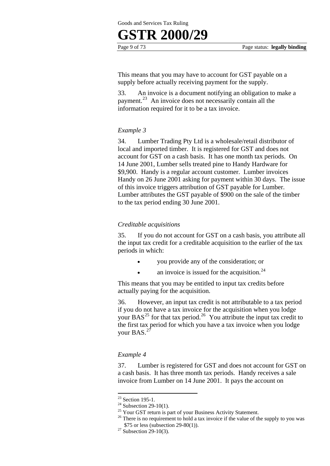### **GSTR 2000/29**

This means that you may have to account for GST payable on a supply before actually receiving payment for the supply.

33. An invoice is a document notifying an obligation to make a payment.23 An invoice does not necessarily contain all the information required for it to be a tax invoice.

#### *Example 3*

34. Lumber Trading Pty Ltd is a wholesale/retail distributor of local and imported timber. It is registered for GST and does not account for GST on a cash basis. It has one month tax periods. On 14 June 2001, Lumber sells treated pine to Handy Hardware for \$9,900. Handy is a regular account customer. Lumber invoices Handy on 26 June 2001 asking for payment within 30 days. The issue of this invoice triggers attribution of GST payable for Lumber. Lumber attributes the GST payable of \$900 on the sale of the timber to the tax period ending 30 June 2001.

#### *Creditable acquisitions*

35. If you do not account for GST on a cash basis, you attribute all the input tax credit for a creditable acquisition to the earlier of the tax periods in which:

- you provide any of the consideration; or
- an invoice is issued for the acquisition. $24$

This means that you may be entitled to input tax credits before actually paying for the acquisition.

36. However, an input tax credit is not attributable to a tax period if you do not have a tax invoice for the acquisition when you lodge your  $BAS^{25}$  for that tax period.<sup>26</sup> You attribute the input tax credit to the first tax period for which you have a tax invoice when you lodge your BAS.<sup>27</sup>

#### *Example 4*

37. Lumber is registered for GST and does not account for GST on a cash basis. It has three month tax periods. Handy receives a sale invoice from Lumber on 14 June 2001. It pays the account on

 $23$  Section 195-1.

<sup>&</sup>lt;sup>24</sup> Subsection 29-10(1).

<sup>&</sup>lt;sup>25</sup> Your GST return is part of your Business Activity Statement.

<sup>&</sup>lt;sup>26</sup> There is no requirement to hold a tax invoice if the value of the supply to you was \$75 or less (subsection 29-80(1)).<br><sup>27</sup> Subsection 29-10(3).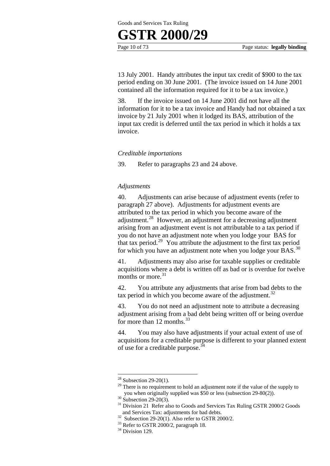

13 July 2001. Handy attributes the input tax credit of \$900 to the tax period ending on 30 June 2001. (The invoice issued on 14 June 2001 contained all the information required for it to be a tax invoice.)

38. If the invoice issued on 14 June 2001 did not have all the information for it to be a tax invoice and Handy had not obtained a tax invoice by 21 July 2001 when it lodged its BAS, attribution of the input tax credit is deferred until the tax period in which it holds a tax invoice.

#### *Creditable importations*

39. Refer to paragraphs 23 and 24 above.

#### *Adjustments*

40. Adjustments can arise because of adjustment events (refer to paragraph 27 above). Adjustments for adjustment events are attributed to the tax period in which you become aware of the adjustment.28 However, an adjustment for a decreasing adjustment arising from an adjustment event is not attributable to a tax period if you do not have an adjustment note when you lodge your BAS for that tax period.<sup>29</sup> You attribute the adjustment to the first tax period for which you have an adjustment note when you lodge your BAS.<sup>30</sup>

41. Adjustments may also arise for taxable supplies or creditable acquisitions where a debt is written off as bad or is overdue for twelve months or more  $31$ 

42. You attribute any adjustments that arise from bad debts to the tax period in which you become aware of the adjustment.<sup>32</sup>

43. You do not need an adjustment note to attribute a decreasing adjustment arising from a bad debt being written off or being overdue for more than 12 months.<sup>33</sup>

44. You may also have adjustments if your actual extent of use of acquisitions for a creditable purpose is different to your planned extent of use for a creditable purpose.<sup>34</sup>

<sup>1</sup>  $28$  Subsection 29-20(1).

 $29$  There is no requirement to hold an adjustment note if the value of the supply to you when originally supplied was \$50 or less (subsection 29-80(2)). 30 Subsection 29-20(3).

 $31$  Division 21 Refer also to Goods and Services Tax Ruling GSTR 2000/2 Goods and Services Tax: adjustments for bad debts.

 $32$  Subsection 29-20(1). Also refer to GSTR 2000/2.

<sup>&</sup>lt;sup>33</sup> Refer to GSTR 2000/2, paragraph 18.

<sup>&</sup>lt;sup>34</sup> Division 129.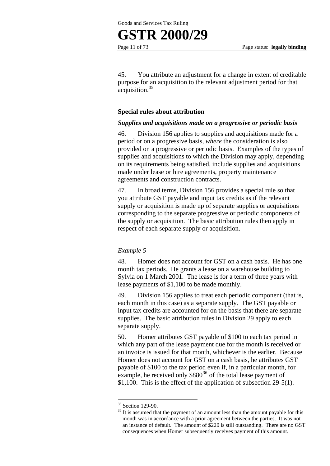



45. You attribute an adjustment for a change in extent of creditable purpose for an acquisition to the relevant adjustment period for that acquisition.<sup>35</sup>

#### **Special rules about attribution**

#### *Supplies and acquisitions made on a progressive or periodic basis*

46. Division 156 applies to supplies and acquisitions made for a period or on a progressive basis, *where* the consideration is also provided on a progressive or periodic basis. Examples of the types of supplies and acquisitions to which the Division may apply, depending on its requirements being satisfied, include supplies and acquisitions made under lease or hire agreements, property maintenance agreements and construction contracts.

47. In broad terms, Division 156 provides a special rule so that you attribute GST payable and input tax credits as if the relevant supply or acquisition is made up of separate supplies or acquisitions corresponding to the separate progressive or periodic components of the supply or acquisition. The basic attribution rules then apply in respect of each separate supply or acquisition.

#### *Example 5*

48. Homer does not account for GST on a cash basis. He has one month tax periods. He grants a lease on a warehouse building to Sylvia on 1 March 2001. The lease is for a term of three years with lease payments of \$1,100 to be made monthly.

49. Division 156 applies to treat each periodic component (that is, each month in this case) as a separate supply. The GST payable or input tax credits are accounted for on the basis that there are separate supplies. The basic attribution rules in Division 29 apply to each separate supply.

50. Homer attributes GST payable of \$100 to each tax period in which any part of the lease payment due for the month is received or an invoice is issued for that month, whichever is the earlier. Because Homer does not account for GST on a cash basis, he attributes GST payable of \$100 to the tax period even if, in a particular month, for example, he received only  $$880<sup>36</sup>$  of the total lease payment of \$1,100. This is the effect of the application of subsection 29-5(1).

<sup>&</sup>lt;sup>35</sup> Section 129-90.

<sup>&</sup>lt;sup>36</sup> It is assumed that the payment of an amount less than the amount payable for this month was in accordance with a prior agreement between the parties. It was not an instance of default. The amount of \$220 is still outstanding. There are no GST consequences when Homer subsequently receives payment of this amount.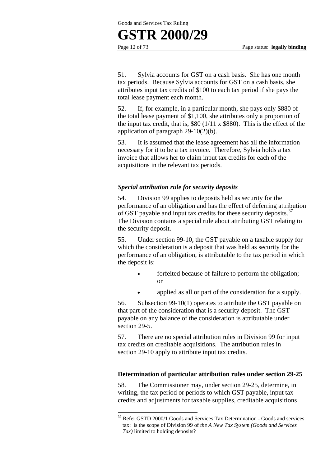### **GSTR 2000/29**

1

Page 12 of 73 Page status: **legally binding**

51. Sylvia accounts for GST on a cash basis. She has one month tax periods. Because Sylvia accounts for GST on a cash basis, she attributes input tax credits of \$100 to each tax period if she pays the total lease payment each month.

52. If, for example, in a particular month, she pays only \$880 of the total lease payment of \$1,100, she attributes only a proportion of the input tax credit, that is,  $$80 (1/11 \times $880)$ . This is the effect of the application of paragraph 29-10(2)(b).

53. It is assumed that the lease agreement has all the information necessary for it to be a tax invoice. Therefore, Sylvia holds a tax invoice that allows her to claim input tax credits for each of the acquisitions in the relevant tax periods.

#### *Special attribution rule for security deposits*

54. Division 99 applies to deposits held as security for the performance of an obligation and has the effect of deferring attribution of GST payable and input tax credits for these security deposits.<sup>37</sup> The Division contains a special rule about attributing GST relating to the security deposit.

55. Under section 99-10, the GST payable on a taxable supply for which the consideration is a deposit that was held as security for the performance of an obligation, is attributable to the tax period in which the deposit is:

- forfeited because of failure to perform the obligation; or
	- applied as all or part of the consideration for a supply.

56. Subsection 99-10(1) operates to attribute the GST payable on that part of the consideration that is a security deposit. The GST payable on any balance of the consideration is attributable under section 29-5.

57. There are no special attribution rules in Division 99 for input tax credits on creditable acquisitions. The attribution rules in section 29-10 apply to attribute input tax credits.

#### **Determination of particular attribution rules under section 29-25**

58. The Commissioner may, under section 29-25, determine, in writing, the tax period or periods to which GST payable, input tax credits and adjustments for taxable supplies, creditable acquisitions

 $37$  Refer GSTD 2000/1 Goods and Services Tax Determination - Goods and services tax: is the scope of Division 99 of *the A New Tax System (Goods and Services Tax)* limited to holding deposits?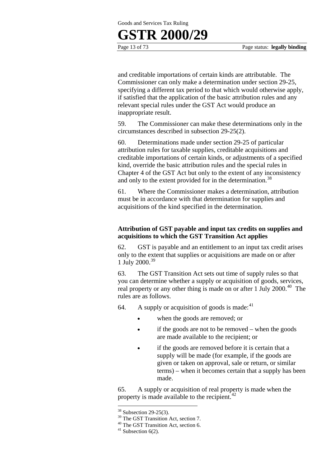## **GSTR 2000/29**

Page 13 of 73 Page status: **legally binding**

and creditable importations of certain kinds are attributable. The Commissioner can only make a determination under section 29-25, specifying a different tax period to that which would otherwise apply, if satisfied that the application of the basic attribution rules and any relevant special rules under the GST Act would produce an inappropriate result.

59. The Commissioner can make these determinations only in the circumstances described in subsection 29-25(2).

60. Determinations made under section 29-25 of particular attribution rules for taxable supplies, creditable acquisitions and creditable importations of certain kinds, or adjustments of a specified kind, override the basic attribution rules and the special rules in Chapter 4 of the GST Act but only to the extent of any inconsistency and only to the extent provided for in the determination.<sup>38</sup>

61. Where the Commissioner makes a determination, attribution must be in accordance with that determination for supplies and acquisitions of the kind specified in the determination.

#### **Attribution of GST payable and input tax credits on supplies and acquisitions to which the GST Transition Act applies**

62. GST is payable and an entitlement to an input tax credit arises only to the extent that supplies or acquisitions are made on or after 1 July 2000.<sup>39</sup>

63. The GST Transition Act sets out time of supply rules so that you can determine whether a supply or acquisition of goods, services, real property or any other thing is made on or after 1 July 2000.<sup>40</sup> The rules are as follows.

64. A supply or acquisition of goods is made:  $41$ 

- when the goods are removed; or
- if the goods are not to be removed when the goods are made available to the recipient; or
- if the goods are removed before it is certain that a supply will be made (for example, if the goods are given or taken on approval, sale or return, or similar terms) – when it becomes certain that a supply has been made.

65. A supply or acquisition of real property is made when the property is made available to the recipient. $^{42}$ 

 $38$  Subsection 29-25(3).

<sup>&</sup>lt;sup>39</sup> The GST Transition Act, section 7.

<sup>40</sup> The GST Transition Act, section 6.

 $41$  Subsection 6(2).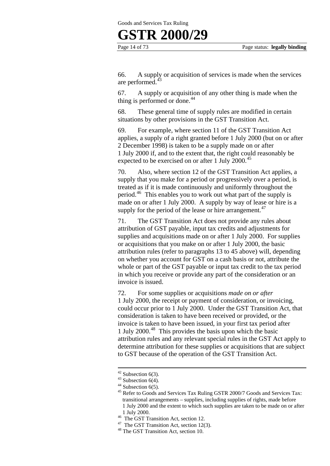### **GSTR 2000/29**

66. A supply or acquisition of services is made when the services are performed.<sup>43</sup>

67. A supply or acquisition of any other thing is made when the thing is performed or done. $44$ 

68. These general time of supply rules are modified in certain situations by other provisions in the GST Transition Act.

69. For example, where section 11 of the GST Transition Act applies, a supply of a right granted before 1 July 2000 (but on or after 2 December 1998) is taken to be a supply made on or after 1 July 2000 if, and to the extent that, the right could reasonably be expected to be exercised on or after 1 July 2000.<sup>45</sup>

70. Also, where section 12 of the GST Transition Act applies, a supply that you make for a period or progressively over a period, is treated as if it is made continuously and uniformly throughout the period.46 This enables you to work out what part of the supply is made on or after 1 July 2000. A supply by way of lease or hire is a supply for the period of the lease or hire arrangement.<sup>47</sup>

71. The GST Transition Act does not provide any rules about attribution of GST payable, input tax credits and adjustments for supplies and acquisitions made on or after 1 July 2000. For supplies or acquisitions that you make on or after 1 July 2000, the basic attribution rules (refer to paragraphs 13 to 45 above) will, depending on whether you account for GST on a cash basis or not, attribute the whole or part of the GST payable or input tax credit to the tax period in which you receive or provide any part of the consideration or an invoice is issued.

72. For some supplies or acquisitions *made on or after* 1 July 2000, the receipt or payment of consideration, or invoicing, could occur prior to 1 July 2000. Under the GST Transition Act, that consideration is taken to have been received or provided, or the invoice is taken to have been issued, in your first tax period after 1 July 2000.48 This provides the basis upon which the basic attribution rules and any relevant special rules in the GST Act apply to determine attribution for these supplies or acquisitions that are subject to GST because of the operation of the GST Transition Act.

 $42$  Subsection 6(3).

 $43$  Subsection 6(4).

 $44$  Subsection 6(5).

<sup>&</sup>lt;sup>45</sup> Refer to Goods and Services Tax Ruling GSTR 2000/7 Goods and Services Tax: transitional arrangements – supplies, including supplies of rights, made before 1 July 2000 and the extent to which such supplies are taken to be made on or after

<sup>1</sup> July 2000. 46 The GST Transition Act, section 12.

<sup>&</sup>lt;sup>47</sup> The GST Transition Act, section 12(3).

<sup>48</sup> The GST Transition Act, section 10.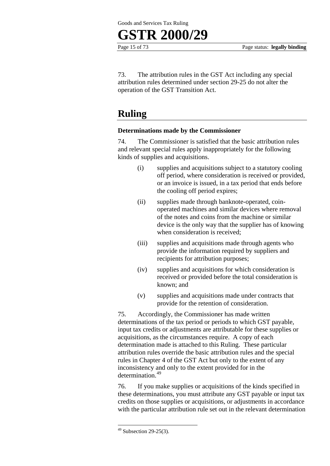

73. The attribution rules in the GST Act including any special attribution rules determined under section 29-25 do not alter the operation of the GST Transition Act.

### **Ruling**

#### **Determinations made by the Commissioner**

74. The Commissioner is satisfied that the basic attribution rules and relevant special rules apply inappropriately for the following kinds of supplies and acquisitions.

- (i) supplies and acquisitions subject to a statutory cooling off period, where consideration is received or provided, or an invoice is issued, in a tax period that ends before the cooling off period expires;
- (ii) supplies made through banknote-operated, coinoperated machines and similar devices where removal of the notes and coins from the machine or similar device is the only way that the supplier has of knowing when consideration is received;
- (iii) supplies and acquisitions made through agents who provide the information required by suppliers and recipients for attribution purposes;
- (iv) supplies and acquisitions for which consideration is received or provided before the total consideration is known; and
- (v) supplies and acquisitions made under contracts that provide for the retention of consideration.

75. Accordingly, the Commissioner has made written determinations of the tax period or periods to which GST payable, input tax credits or adjustments are attributable for these supplies or acquisitions, as the circumstances require. A copy of each determination made is attached to this Ruling. These particular attribution rules override the basic attribution rules and the special rules in Chapter 4 of the GST Act but only to the extent of any inconsistency and only to the extent provided for in the determination.<sup>49</sup>

76. If you make supplies or acquisitions of the kinds specified in these determinations, you must attribute any GST payable or input tax credits on those supplies or acquisitions, or adjustments in accordance with the particular attribution rule set out in the relevant determination

 $49$  Subsection 29-25(3).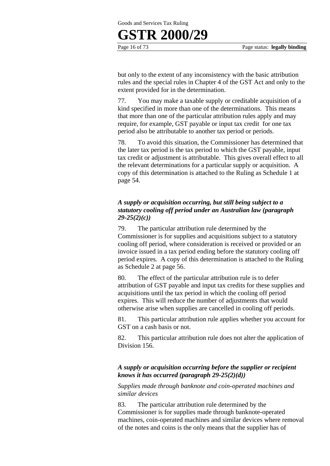# **GSTR 2000/29**

Page 16 of 73 Page status: **legally binding**

but only to the extent of any inconsistency with the basic attribution rules and the special rules in Chapter 4 of the GST Act and only to the extent provided for in the determination.

77. You may make a taxable supply or creditable acquisition of a kind specified in more than one of the determinations. This means that more than one of the particular attribution rules apply and may require, for example, GST payable or input tax credit for one tax period also be attributable to another tax period or periods.

78. To avoid this situation, the Commissioner has determined that the later tax period is the tax period to which the GST payable, input tax credit or adjustment is attributable. This gives overall effect to all the relevant determinations for a particular supply or acquisition. A copy of this determination is attached to the Ruling as Schedule 1 at page 54.

#### *A supply or acquisition occurring, but still being subject to a statutory cooling off period under an Australian law (paragraph 29-25(2)(c))*

79. The particular attribution rule determined by the Commissioner is for supplies and acquisitions subject to a statutory cooling off period, where consideration is received or provided or an invoice issued in a tax period ending before the statutory cooling off period expires*.* A copy of this determination is attached to the Ruling as Schedule 2 at page 56.

80. The effect of the particular attribution rule is to defer attribution of GST payable and input tax credits for these supplies and acquisitions until the tax period in which the cooling off period expires. This will reduce the number of adjustments that would otherwise arise when supplies are cancelled in cooling off periods.

81. This particular attribution rule applies whether you account for GST on a cash basis or not.

82. This particular attribution rule does not alter the application of Division 156.

#### *A supply or acquisition occurring before the supplier or recipient knows it has occurred (paragraph 29-25(2)(d))*

*Supplies made through banknote and coin-operated machines and similar devices* 

83. The particular attribution rule determined by the Commissioner is for supplies made through banknote-operated machines, coin-operated machines and similar devices where removal of the notes and coins is the only means that the supplier has of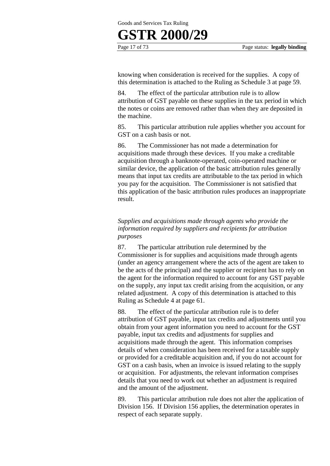# **GSTR 2000/29**

Page 17 of 73 Page status: **legally binding**

knowing when consideration is received for the supplies. A copy of this determination is attached to the Ruling as Schedule 3 at page 59.

84. The effect of the particular attribution rule is to allow attribution of GST payable on these supplies in the tax period in which the notes or coins are removed rather than when they are deposited in the machine.

85. This particular attribution rule applies whether you account for GST on a cash basis or not.

86. The Commissioner has not made a determination for acquisitions made through these devices. If you make a creditable acquisition through a banknote-operated, coin-operated machine or similar device, the application of the basic attribution rules generally means that input tax credits are attributable to the tax period in which you pay for the acquisition. The Commissioner is not satisfied that this application of the basic attribution rules produces an inappropriate result.

#### *Supplies and acquisitions made through agents who provide the information required by suppliers and recipients for attribution purposes*

87. The particular attribution rule determined by the Commissioner is for supplies and acquisitions made through agents (under an agency arrangement where the acts of the agent are taken to be the acts of the principal) and the supplier or recipient has to rely on the agent for the information required to account for any GST payable on the supply, any input tax credit arising from the acquisition, or any related adjustment. A copy of this determination is attached to this Ruling as Schedule 4 at page 61.

88. The effect of the particular attribution rule is to defer attribution of GST payable, input tax credits and adjustments until you obtain from your agent information you need to account for the GST payable, input tax credits and adjustments for supplies and acquisitions made through the agent. This information comprises details of when consideration has been received for a taxable supply or provided for a creditable acquisition and, if you do not account for GST on a cash basis, when an invoice is issued relating to the supply or acquisition. For adjustments, the relevant information comprises details that you need to work out whether an adjustment is required and the amount of the adjustment.

89. This particular attribution rule does not alter the application of Division 156. If Division 156 applies, the determination operates in respect of each separate supply.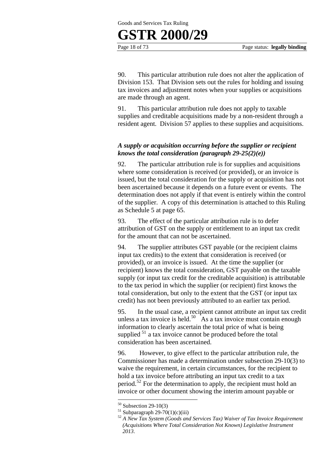

90. This particular attribution rule does not alter the application of Division 153. That Division sets out the rules for holding and issuing tax invoices and adjustment notes when your supplies or acquisitions are made through an agent.

91. This particular attribution rule does not apply to taxable supplies and creditable acquisitions made by a non-resident through a resident agent. Division 57 applies to these supplies and acquisitions.

#### *A supply or acquisition occurring before the supplier or recipient knows the total consideration (paragraph 29-25(2)(e))*

92. The particular attribution rule is for supplies and acquisitions where some consideration is received (or provided), or an invoice is issued, but the total consideration for the supply or acquisition has not been ascertained because it depends on a future event or events. The determination does not apply if that event is entirely within the control of the supplier. A copy of this determination is attached to this Ruling as Schedule 5 at page 65.

93. The effect of the particular attribution rule is to defer attribution of GST on the supply or entitlement to an input tax credit for the amount that can not be ascertained.

94. The supplier attributes GST payable (or the recipient claims input tax credits) to the extent that consideration is received (or provided), or an invoice is issued. At the time the supplier (or recipient) knows the total consideration, GST payable on the taxable supply (or input tax credit for the creditable acquisition) is attributable to the tax period in which the supplier (or recipient) first knows the total consideration, but only to the extent that the GST (or input tax credit) has not been previously attributed to an earlier tax period.

95. In the usual case, a recipient cannot attribute an input tax credit unless a tax invoice is held.<sup>50</sup> As a tax invoice must contain enough information to clearly ascertain the total price of what is being supplied <sup>51</sup> a tax invoice cannot be produced before the total consideration has been ascertained.

96. However, to give effect to the particular attribution rule, the Commissioner has made a determination under subsection 29-10(3) to waive the requirement, in certain circumstances, for the recipient to hold a tax invoice before attributing an input tax credit to a tax period.<sup>52</sup> For the determination to apply, the recipient must hold an invoice or other document showing the interim amount payable or

 $50$  Subsection 29-10(3)

 $51$  Subparagraph 29-70(1)(c)(iii)

<sup>52</sup> *A New Tax System (Goods and Services Tax) Waiver of Tax Invoice Requirement (Acquisitions Where Total Consideration Not Known) Legislative Instrument 2013*.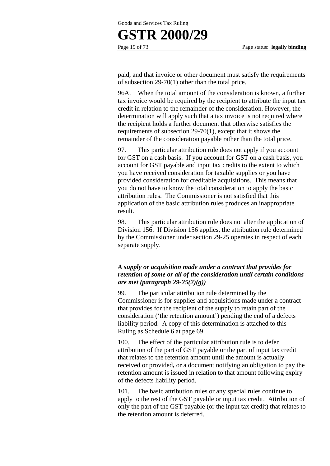## **GSTR 2000/29**

Page 19 of 73 Page status: **legally binding**

paid, and that invoice or other document must satisfy the requirements of subsection 29-70(1) other than the total price.

96A. When the total amount of the consideration is known, a further tax invoice would be required by the recipient to attribute the input tax credit in relation to the remainder of the consideration. However, the determination will apply such that a tax invoice is not required where the recipient holds a further document that otherwise satisfies the requirements of subsection 29-70(1), except that it shows the remainder of the consideration payable rather than the total price.

97. This particular attribution rule does not apply if you account for GST on a cash basis. If you account for GST on a cash basis, you account for GST payable and input tax credits to the extent to which you have received consideration for taxable supplies or you have provided consideration for creditable acquisitions. This means that you do not have to know the total consideration to apply the basic attribution rules. The Commissioner is not satisfied that this application of the basic attribution rules produces an inappropriate result.

98. This particular attribution rule does not alter the application of Division 156. If Division 156 applies, the attribution rule determined by the Commissioner under section 29-25 operates in respect of each separate supply.

#### *A supply or acquisition made under a contract that provides for retention of some or all of the consideration until certain conditions are met (paragraph 29-25(2)(g))*

99. The particular attribution rule determined by the Commissioner is for supplies and acquisitions made under a contract that provides for the recipient of the supply to retain part of the consideration ('the retention amount') pending the end of a defects liability period. A copy of this determination is attached to this Ruling as Schedule 6 at page 69.

100. The effect of the particular attribution rule is to defer attribution of the part of GST payable or the part of input tax credit that relates to the retention amount until the amount is actually received or provided**,** or a document notifying an obligation to pay the retention amount is issued in relation to that amount following expiry of the defects liability period.

101. The basic attribution rules or any special rules continue to apply to the rest of the GST payable or input tax credit. Attribution of only the part of the GST payable (or the input tax credit) that relates to the retention amount is deferred.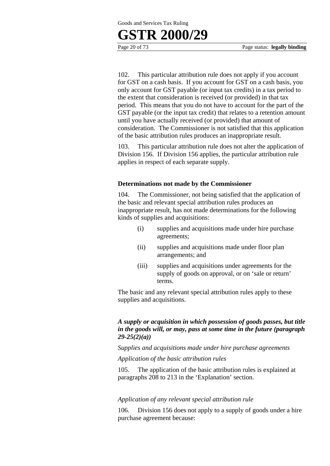### **GSTR 2000/29**

Page 20 of 73 Page status: **legally binding**

102. This particular attribution rule does not apply if you account for GST on a cash basis. If you account for GST on a cash basis, you only account for GST payable (or input tax credits) in a tax period to the extent that consideration is received (or provided) in that tax period. This means that you do not have to account for the part of the GST payable (or the input tax credit) that relates to a retention amount until you have actually received (or provided) that amount of consideration. The Commissioner is not satisfied that this application of the basic attribution rules produces an inappropriate result.

103. This particular attribution rule does not alter the application of Division 156. If Division 156 applies, the particular attribution rule applies in respect of each separate supply.

#### **Determinations not made by the Commissioner**

104. The Commissioner, not being satisfied that the application of the basic and relevant special attribution rules produces an inappropriate result, has not made determinations for the following kinds of supplies and acquisitions:

- (i) supplies and acquisitions made under hire purchase agreements;
- (ii) supplies and acquisitions made under floor plan arrangements; and
- (iii) supplies and acquisitions under agreements for the supply of goods on approval, or on 'sale or return' terms.

The basic and any relevant special attribution rules apply to these supplies and acquisitions.

#### *A supply or acquisition in which possession of goods passes, but title in the goods will, or may, pass at some time in the future (paragraph 29-25(2)(a))*

*Supplies and acquisitions made under hire purchase agreements* 

*Application of the basic attribution rules* 

105. The application of the basic attribution rules is explained at paragraphs 208 to 213 in the 'Explanation' section.

#### *Application of any relevant special attribution rule*

106. Division 156 does not apply to a supply of goods under a hire purchase agreement because: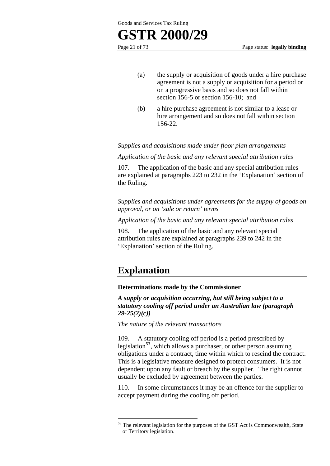Page 21 of 73 Page status: **legally binding**

- (a) the supply or acquisition of goods under a hire purchase agreement is not a supply or acquisition for a period or on a progressive basis and so does not fall within section 156-5 or section 156-10; and
- (b) a hire purchase agreement is not similar to a lease or hire arrangement and so does not fall within section 156-22.

*Supplies and acquisitions made under floor plan arrangements* 

*Application of the basic and any relevant special attribution rules* 

107. The application of the basic and any special attribution rules are explained at paragraphs 223 to 232 in the 'Explanation' section of the Ruling.

*Supplies and acquisitions under agreements for the supply of goods on approval, or on 'sale or return' terms* 

*Application of the basic and any relevant special attribution rules* 

108. The application of the basic and any relevant special attribution rules are explained at paragraphs 239 to 242 in the 'Explanation' section of the Ruling.

### **Explanation**

1

#### **Determinations made by the Commissioner**

*A supply or acquisition occurring, but still being subject to a statutory cooling off period under an Australian law (paragraph 29-25(2)(c))* 

*The nature of the relevant transactions* 

109. A statutory cooling off period is a period prescribed by legislation<sup>53</sup>, which allows a purchaser, or other person assuming obligations under a contract, time within which to rescind the contract. This is a legislative measure designed to protect consumers. It is not dependent upon any fault or breach by the supplier. The right cannot usually be excluded by agreement between the parties.

110. In some circumstances it may be an offence for the supplier to accept payment during the cooling off period.

 $53$  The relevant legislation for the purposes of the GST Act is Commonwealth, State or Territory legislation.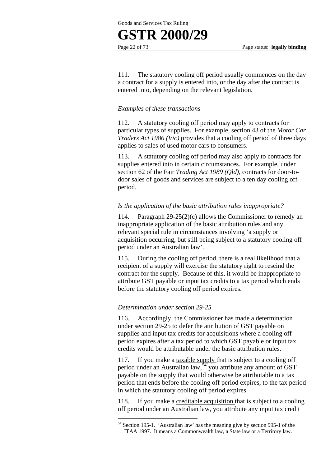## **GSTR 2000/29**

Page 22 of 73 Page status: **legally binding**

111. The statutory cooling off period usually commences on the day a contract for a supply is entered into, or the day after the contract is entered into, depending on the relevant legislation.

#### *Examples of these transactions*

112. A statutory cooling off period may apply to contracts for particular types of supplies. For example, section 43 of the *Motor Car Traders Act 1986 (Vic)* provides that a cooling off period of three days applies to sales of used motor cars to consumers.

113. A statutory cooling off period may also apply to contracts for supplies entered into in certain circumstances. For example, under section 62 of the Fair *Trading Act 1989 (Qld)*, contracts for door-todoor sales of goods and services are subject to a ten day cooling off period.

#### *Is the application of the basic attribution rules inappropriate?*

114. Paragraph 29-25(2)(c) allows the Commissioner to remedy an inappropriate application of the basic attribution rules and any relevant special rule in circumstances involving 'a supply or acquisition occurring, but still being subject to a statutory cooling off period under an Australian law'.

115. During the cooling off period, there is a real likelihood that a recipient of a supply will exercise the statutory right to rescind the contract for the supply. Because of this, it would be inappropriate to attribute GST payable or input tax credits to a tax period which ends before the statutory cooling off period expires.

#### *Determination under section 29-25*

116. Accordingly, the Commissioner has made a determination under section 29-25 to defer the attribution of GST payable on supplies and input tax credits for acquisitions where a cooling off period expires after a tax period to which GST payable or input tax credits would be attributable under the basic attribution rules.

117. If you make a taxable supply that is subject to a cooling off period under an Australian law,<sup>54</sup> you attribute any amount of GST payable on the supply that would otherwise be attributable to a tax period that ends before the cooling off period expires, to the tax period in which the statutory cooling off period expires.

118. If you make a creditable acquisition that is subject to a cooling off period under an Australian law*,* you attribute any input tax credit

<sup>1</sup> 54 Section 195-1. 'Australian law' has the meaning give by section 995-1 of the ITAA 1997. It means a Commonwealth law, a State law or a Territory law.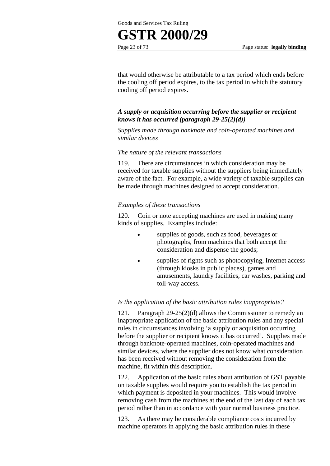



that would otherwise be attributable to a tax period which ends before the cooling off period expires, to the tax period in which the statutory cooling off period expires.

#### *A supply or acquisition occurring before the supplier or recipient knows it has occurred (paragraph 29-25(2)(d))*

*Supplies made through banknote and coin-operated machines and similar devices* 

#### *The nature of the relevant transactions*

119. There are circumstances in which consideration may be received for taxable supplies without the suppliers being immediately aware of the fact. For example, a wide variety of taxable supplies can be made through machines designed to accept consideration.

#### *Examples of these transactions*

120. Coin or note accepting machines are used in making many kinds of supplies. Examples include:

- supplies of goods, such as food, beverages or photographs, from machines that both accept the consideration and dispense the goods;
- supplies of rights such as photocopying, Internet access (through kiosks in public places), games and amusements, laundry facilities, car washes, parking and toll-way access.

#### *Is the application of the basic attribution rules inappropriate?*

121. Paragraph 29-25(2)(d) allows the Commissioner to remedy an inappropriate application of the basic attribution rules and any special rules in circumstances involving 'a supply or acquisition occurring before the supplier or recipient knows it has occurred'. Supplies made through banknote-operated machines, coin-operated machines and similar devices, where the supplier does not know what consideration has been received without removing the consideration from the machine, fit within this description.

122. Application of the basic rules about attribution of GST payable on taxable supplies would require you to establish the tax period in which payment is deposited in your machines. This would involve removing cash from the machines at the end of the last day of each tax period rather than in accordance with your normal business practice.

123. As there may be considerable compliance costs incurred by machine operators in applying the basic attribution rules in these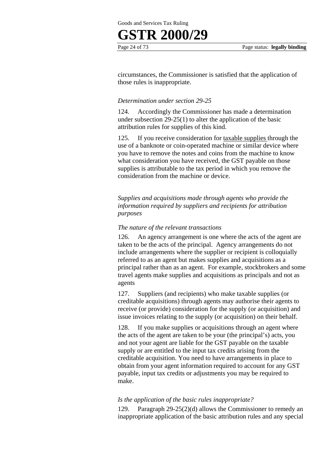# **GSTR 2000/29**

Page 24 of 73 Page status: **legally binding**

circumstances, the Commissioner is satisfied that the application of those rules is inappropriate.

#### *Determination under section 29-25*

124. Accordingly the Commissioner has made a determination under subsection 29-25(1) to alter the application of the basic attribution rules for supplies of this kind.

125. If you receive consideration for taxable supplies through the use of a banknote or coin-operated machine or similar device where you have to remove the notes and coins from the machine to know what consideration you have received, the GST payable on those supplies is attributable to the tax period in which you remove the consideration from the machine or device.

*Supplies and acquisitions made through agents who provide the information required by suppliers and recipients for attribution purposes* 

#### *The nature of the relevant transactions*

126. An agency arrangement is one where the acts of the agent are taken to be the acts of the principal. Agency arrangements do not include arrangements where the supplier or recipient is colloquially referred to as an agent but makes supplies and acquisitions as a principal rather than as an agent. For example, stockbrokers and some travel agents make supplies and acquisitions as principals and not as agents

127. Suppliers (and recipients) who make taxable supplies (or creditable acquisitions) through agents may authorise their agents to receive (or provide) consideration for the supply (or acquisition) and issue invoices relating to the supply (or acquisition) on their behalf.

128. If you make supplies or acquisitions through an agent where the acts of the agent are taken to be your (the principal's) acts, you and not your agent are liable for the GST payable on the taxable supply or are entitled to the input tax credits arising from the creditable acquisition. You need to have arrangements in place to obtain from your agent information required to account for any GST payable, input tax credits or adjustments you may be required to make.

#### *Is the application of the basic rules inappropriate?*

129. Paragraph 29-25(2)(d) allows the Commissioner to remedy an inappropriate application of the basic attribution rules and any special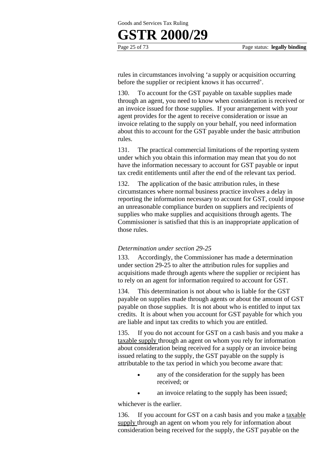## **GSTR 2000/29**

Page 25 of 73 Page status: **legally binding**

rules in circumstances involving 'a supply or acquisition occurring before the supplier or recipient knows it has occurred'.

130. To account for the GST payable on taxable supplies made through an agent, you need to know when consideration is received or an invoice issued for those supplies. If your arrangement with your agent provides for the agent to receive consideration or issue an invoice relating to the supply on your behalf, you need information about this to account for the GST payable under the basic attribution rules.

131. The practical commercial limitations of the reporting system under which you obtain this information may mean that you do not have the information necessary to account for GST payable or input tax credit entitlements until after the end of the relevant tax period.

132. The application of the basic attribution rules, in these circumstances where normal business practice involves a delay in reporting the information necessary to account for GST, could impose an unreasonable compliance burden on suppliers and recipients of supplies who make supplies and acquisitions through agents. The Commissioner is satisfied that this is an inappropriate application of those rules.

#### *Determination under section 29-25*

133. Accordingly, the Commissioner has made a determination under section 29-25 to alter the attribution rules for supplies and acquisitions made through agents where the supplier or recipient has to rely on an agent for information required to account for GST.

134. This determination is not about who is liable for the GST payable on supplies made through agents or about the amount of GST payable on those supplies. It is not about who is entitled to input tax credits. It is about when you account for GST payable for which you are liable and input tax credits to which you are entitled.

135. If you do not account for GST on a cash basis and you make a taxable supply through an agent on whom you rely for information about consideration being received for a supply or an invoice being issued relating to the supply, the GST payable on the supply is attributable to the tax period in which you become aware that:

- any of the consideration for the supply has been received; or
- an invoice relating to the supply has been issued;

whichever is the earlier.

136. If you account for GST on a cash basis and you make a taxable supply through an agent on whom you rely for information about consideration being received for the supply, the GST payable on the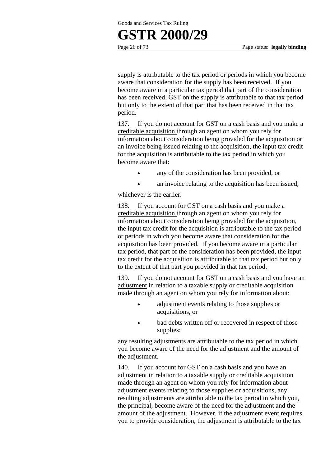

supply is attributable to the tax period or periods in which you become aware that consideration for the supply has been received. If you become aware in a particular tax period that part of the consideration has been received, GST on the supply is attributable to that tax period but only to the extent of that part that has been received in that tax period.

137. If you do not account for GST on a cash basis and you make a creditable acquisition through an agent on whom you rely for information about consideration being provided for the acquisition or an invoice being issued relating to the acquisition, the input tax credit for the acquisition is attributable to the tax period in which you become aware that:

- any of the consideration has been provided, or
- an invoice relating to the acquisition has been issued;

whichever is the earlier.

138. If you account for GST on a cash basis and you make a creditable acquisition through an agent on whom you rely for information about consideration being provided for the acquisition, the input tax credit for the acquisition is attributable to the tax period or periods in which you become aware that consideration for the acquisition has been provided. If you become aware in a particular tax period, that part of the consideration has been provided, the input tax credit for the acquisition is attributable to that tax period but only to the extent of that part you provided in that tax period.

139. If you do not account for GST on a cash basis and you have an adjustment in relation to a taxable supply or creditable acquisition made through an agent on whom you rely for information about:

- adjustment events relating to those supplies or acquisitions, or
- bad debts written off or recovered in respect of those supplies;

any resulting adjustments are attributable to the tax period in which you become aware of the need for the adjustment and the amount of the adjustment.

140. If you account for GST on a cash basis and you have an adjustment in relation to a taxable supply or creditable acquisition made through an agent on whom you rely for information about adjustment events relating to those supplies or acquisitions, any resulting adjustments are attributable to the tax period in which you, the principal, become aware of the need for the adjustment and the amount of the adjustment. However, if the adjustment event requires you to provide consideration, the adjustment is attributable to the tax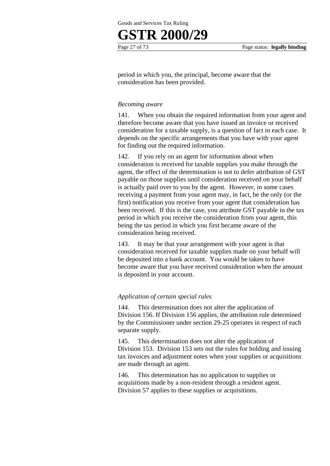# **GSTR 2000/29**

Page 27 of 73 Page status: **legally binding**

period in which you, the principal, become aware that the consideration has been provided.

#### *Becoming aware*

141. When you obtain the required information from your agent and therefore become aware that you have issued an invoice or received consideration for a taxable supply, is a question of fact in each case. It depends on the specific arrangements that you have with your agent for finding out the required information.

142. If you rely on an agent for information about when consideration is received for taxable supplies you make through the agent, the effect of the determination is not to defer attribution of GST payable on those supplies until consideration received on your behalf is actually paid over to you by the agent. However, in some cases receiving a payment from your agent may, in fact, be the only (or the first) notification you receive from your agent that consideration has been received. If this is the case, you attribute GST payable in the tax period in which you receive the consideration from your agent, this being the tax period in which you first became aware of the consideration being received.

143. It may be that your arrangement with your agent is that consideration received for taxable supplies made on your behalf will be deposited into a bank account. You would be taken to have become aware that you have received consideration when the amount is deposited in your account.

#### *Application of certain special rules*

144. This determination does not alter the application of Division 156. If Division 156 applies, the attribution rule determined by the Commissioner under section 29-25 operates in respect of each separate supply.

145. This determination does not alter the application of Division 153. Division 153 sets out the rules for holding and issuing tax invoices and adjustment notes when your supplies or acquisitions are made through an agent.

146. This determination has no application to supplies or acquisitions made by a non-resident through a resident agent. Division 57 applies to these supplies or acquisitions.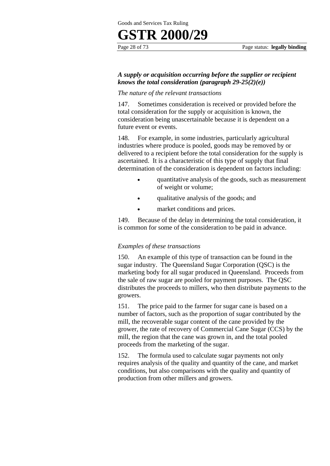## **GSTR 2000/29**

#### *A supply or acquisition occurring before the supplier or recipient knows the total consideration (paragraph 29-25(2)(e))*

#### *The nature of the relevant transactions*

147. Sometimes consideration is received or provided before the total consideration for the supply or acquisition is known, the consideration being unascertainable because it is dependent on a future event or events.

148. For example, in some industries, particularly agricultural industries where produce is pooled, goods may be removed by or delivered to a recipient before the total consideration for the supply is ascertained. It is a characteristic of this type of supply that final determination of the consideration is dependent on factors including:

- quantitative analysis of the goods, such as measurement of weight or volume;
- qualitative analysis of the goods; and
- market conditions and prices.

149. Because of the delay in determining the total consideration, it is common for some of the consideration to be paid in advance.

#### *Examples of these transactions*

150. An example of this type of transaction can be found in the sugar industry. The Queensland Sugar Corporation (QSC) is the marketing body for all sugar produced in Queensland. Proceeds from the sale of raw sugar are pooled for payment purposes. The QSC distributes the proceeds to millers, who then distribute payments to the growers.

151. The price paid to the farmer for sugar cane is based on a number of factors, such as the proportion of sugar contributed by the mill, the recoverable sugar content of the cane provided by the grower, the rate of recovery of Commercial Cane Sugar (CCS) by the mill, the region that the cane was grown in, and the total pooled proceeds from the marketing of the sugar.

152. The formula used to calculate sugar payments not only requires analysis of the quality and quantity of the cane, and market conditions, but also comparisons with the quality and quantity of production from other millers and growers.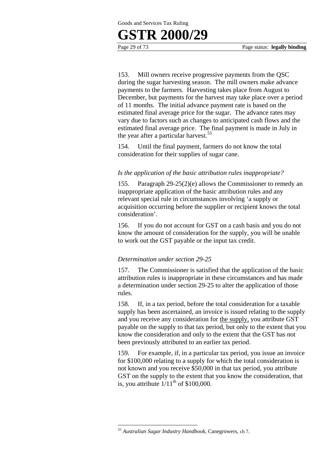### **GSTR 2000/29**

153. Mill owners receive progressive payments from the QSC during the sugar harvesting season. The mill owners make advance payments to the farmers. Harvesting takes place from August to December, but payments for the harvest may take place over a period of 11 months. The initial advance payment rate is based on the estimated final average price for the sugar. The advance rates may vary due to factors such as changes to anticipated cash flows and the estimated final average price. The final payment is made in July in the year after a particular harvest.<sup>55</sup>

154. Until the final payment, farmers do not know the total consideration for their supplies of sugar cane.

#### *Is the application of the basic attribution rules inappropriate?*

155. Paragraph 29-25(2)(e) allows the Commissioner to remedy an inappropriate application of the basic attribution rules and any relevant special rule in circumstances involving 'a supply or acquisition occurring before the supplier or recipient knows the total consideration'.

156. If you do not account for GST on a cash basis and you do not know the amount of consideration for the supply, you will be unable to work out the GST payable or the input tax credit.

#### *Determination under section 29-25*

157. The Commissioner is satisfied that the application of the basic attribution rules is inappropriate in these circumstances and has made a determination under section 29-25 to alter the application of those rules.

158. If, in a tax period, before the total consideration for a taxable supply has been ascertained, an invoice is issued relating to the supply and you receive any consideration for the supply, you attribute GST payable on the supply to that tax period, but only to the extent that you know the consideration and only to the extent that the GST has not been previously attributed to an earlier tax period.

159. For example, if, in a particular tax period, you issue an invoice for \$100,000 relating to a supply for which the total consideration is not known and you receive \$50,000 in that tax period, you attribute GST on the supply to the extent that you know the consideration, that is, you attribute  $1/11^{th}$  of \$100,000.

<sup>55</sup> *Australian Sugar Industry Handbook*, Canegrowers, ch 7.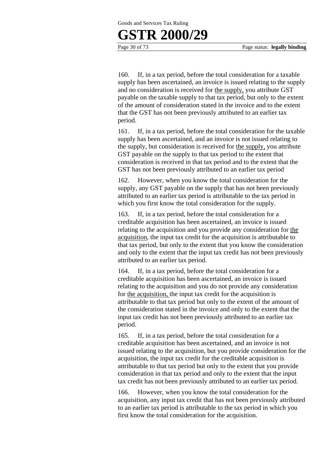### **GSTR 2000/29**

Page 30 of 73 Page status: **legally binding**

160. If, in a tax period, before the total consideration for a taxable supply has been ascertained, an invoice is issued relating to the supply and no consideration is received for the supply, you attribute GST payable on the taxable supply to that tax period, but only to the extent of the amount of consideration stated in the invoice and to the extent that the GST has not been previously attributed to an earlier tax period.

161. If, in a tax period, before the total consideration for the taxable supply has been ascertained, and an invoice is not issued relating to the supply, but consideration is received for the supply, you attribute GST payable on the supply to that tax period to the extent that consideration is received in that tax period and to the extent that the GST has not been previously attributed to an earlier tax period

162. However, when you know the total consideration for the supply, any GST payable on the supply that has not been previously attributed to an earlier tax period is attributable to the tax period in which you first know the total consideration for the supply.

163. If, in a tax period, before the total consideration for a creditable acquisition has been ascertained, an invoice is issued relating to the acquisition and you provide any consideration for the acquisition, the input tax credit for the acquisition is attributable to that tax period, but only to the extent that you know the consideration and only to the extent that the input tax credit has not been previously attributed to an earlier tax period.

164. If, in a tax period, before the total consideration for a creditable acquisition has been ascertained, an invoice is issued relating to the acquisition and you do not provide any consideration for the acquisition, the input tax credit for the acquisition is attributable to that tax period but only to the extent of the amount of the consideration stated in the invoice and only to the extent that the input tax credit has not been previously attributed to an earlier tax period.

165. If, in a tax period, before the total consideration for a creditable acquisition has been ascertained, and an invoice is not issued relating to the acquisition, but you provide consideration for the acquisition, the input tax credit for the creditable acquisition is attributable to that tax period but only to the extent that you provide consideration in that tax period and only to the extent that the input tax credit has not been previously attributed to an earlier tax period.

166. However, when you know the total consideration for the acquisition, any input tax credit that has not been previously attributed to an earlier tax period is attributable to the tax period in which you first know the total consideration for the acquisition.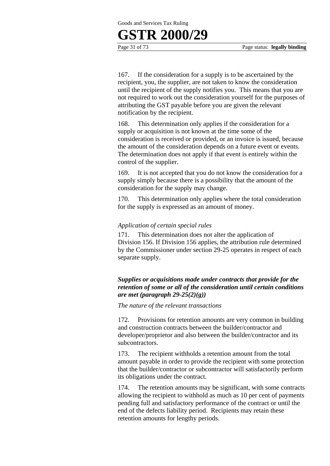### **GSTR 2000/29**

Page 31 of 73 Page status: **legally binding**

167. If the consideration for a supply is to be ascertained by the recipient, you, the supplier, are not taken to know the consideration until the recipient of the supply notifies you. This means that you are not required to work out the consideration yourself for the purposes of attributing the GST payable before you are given the relevant notification by the recipient.

168. This determination only applies if the consideration for a supply or acquisition is not known at the time some of the consideration is received or provided, or an invoice is issued, because the amount of the consideration depends on a future event or events. The determination does not apply if that event is entirely within the control of the supplier.

169. It is not accepted that you do not know the consideration for a supply simply because there is a possibility that the amount of the consideration for the supply may change.

170. This determination only applies where the total consideration for the supply is expressed as an amount of money.

#### *Application of certain special rules*

171. This determination does not alter the application of Division 156. If Division 156 applies, the attribution rule determined by the Commissioner under section 29-25 operates in respect of each separate supply.

#### *Supplies or acquisitions made under contracts that provide for the retention of some or all of the consideration until certain conditions are met (paragraph 29-25(2)(g))*

*The nature of the relevant transactions* 

172. Provisions for retention amounts are very common in building and construction contracts between the builder/contractor and developer/proprietor and also between the builder/contractor and its subcontractors.

173. The recipient withholds a retention amount from the total amount payable in order to provide the recipient with some protection that the builder/contractor or subcontractor will satisfactorily perform its obligations under the contract.

174. The retention amounts may be significant, with some contracts allowing the recipient to withhold as much as 10 per cent of payments pending full and satisfactory performance of the contract or until the end of the defects liability period. Recipients may retain these retention amounts for lengthy periods.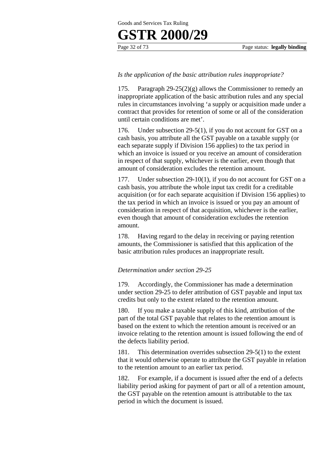## **GSTR 2000/29**

#### *Is the application of the basic attribution rules inappropriate?*

175. Paragraph 29-25(2)(g) allows the Commissioner to remedy an inappropriate application of the basic attribution rules and any special rules in circumstances involving 'a supply or acquisition made under a contract that provides for retention of some or all of the consideration until certain conditions are met'.

176. Under subsection 29-5(1), if you do not account for GST on a cash basis, you attribute all the GST payable on a taxable supply (or each separate supply if Division 156 applies) to the tax period in which an invoice is issued or you receive an amount of consideration in respect of that supply, whichever is the earlier, even though that amount of consideration excludes the retention amount.

177. Under subsection 29-10(1), if you do not account for GST on a cash basis, you attribute the whole input tax credit for a creditable acquisition (or for each separate acquisition if Division 156 applies) to the tax period in which an invoice is issued or you pay an amount of consideration in respect of that acquisition, whichever is the earlier, even though that amount of consideration excludes the retention amount.

178. Having regard to the delay in receiving or paying retention amounts, the Commissioner is satisfied that this application of the basic attribution rules produces an inappropriate result.

#### *Determination under section 29-25*

179. Accordingly, the Commissioner has made a determination under section 29-25 to defer attribution of GST payable and input tax credits but only to the extent related to the retention amount.

180. If you make a taxable supply of this kind, attribution of the part of the total GST payable that relates to the retention amount is based on the extent to which the retention amount is received or an invoice relating to the retention amount is issued following the end of the defects liability period.

181. This determination overrides subsection 29-5(1) to the extent that it would otherwise operate to attribute the GST payable in relation to the retention amount to an earlier tax period.

182. For example, if a document is issued after the end of a defects liability period asking for payment of part or all of a retention amount, the GST payable on the retention amount is attributable to the tax period in which the document is issued.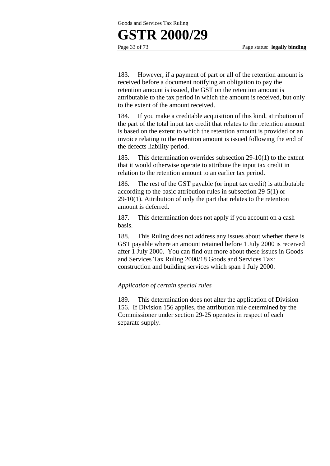### **GSTR 2000/29**

Page 33 of 73 Page status: **legally binding**

183. However, if a payment of part or all of the retention amount is received before a document notifying an obligation to pay the retention amount is issued, the GST on the retention amount is attributable to the tax period in which the amount is received, but only to the extent of the amount received.

184. If you make a creditable acquisition of this kind, attribution of the part of the total input tax credit that relates to the retention amount is based on the extent to which the retention amount is provided or an invoice relating to the retention amount is issued following the end of the defects liability period.

185. This determination overrides subsection 29-10(1) to the extent that it would otherwise operate to attribute the input tax credit in relation to the retention amount to an earlier tax period.

186. The rest of the GST payable (or input tax credit) is attributable according to the basic attribution rules in subsection 29-5(1) or 29-10(1). Attribution of only the part that relates to the retention amount is deferred.

187. This determination does not apply if you account on a cash basis.

188. This Ruling does not address any issues about whether there is GST payable where an amount retained before 1 July 2000 is received after 1 July 2000. You can find out more about these issues in Goods and Services Tax Ruling 2000/18 Goods and Services Tax: construction and building services which span 1 July 2000.

#### *Application of certain special rules*

189. This determination does not alter the application of Division 156. If Division 156 applies, the attribution rule determined by the Commissioner under section 29-25 operates in respect of each separate supply.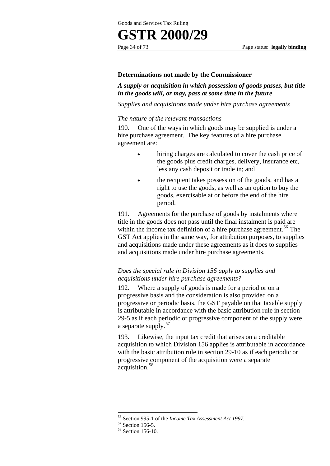#### **Determinations not made by the Commissioner**

*A supply or acquisition in which possession of goods passes, but title in the goods will, or may, pass at some time in the future* 

*Supplies and acquisitions made under hire purchase agreements* 

#### *The nature of the relevant transactions*

190. One of the ways in which goods may be supplied is under a hire purchase agreement. The key features of a hire purchase agreement are:

- hiring charges are calculated to cover the cash price of the goods plus credit charges, delivery, insurance etc, less any cash deposit or trade in; and
- the recipient takes possession of the goods, and has a right to use the goods, as well as an option to buy the goods, exercisable at or before the end of the hire period.

191. Agreements for the purchase of goods by instalments where title in the goods does not pass until the final instalment is paid are within the income tax definition of a hire purchase agreement.<sup>56</sup> The GST Act applies in the same way, for attribution purposes, to supplies and acquisitions made under these agreements as it does to supplies and acquisitions made under hire purchase agreements.

#### *Does the special rule in Division 156 apply to supplies and acquisitions under hire purchase agreements?*

192. Where a supply of goods is made for a period or on a progressive basis and the consideration is also provided on a progressive or periodic basis, the GST payable on that taxable supply is attributable in accordance with the basic attribution rule in section 29-5 as if each periodic or progressive component of the supply were a separate supply.<sup>57</sup>

193. Likewise, the input tax credit that arises on a creditable acquisition to which Division 156 applies is attributable in accordance with the basic attribution rule in section 29-10 as if each periodic or progressive component of the acquisition were a separate acquisition.<sup>58</sup>

<sup>&</sup>lt;sup>56</sup> Section 995-1 of the *Income Tax Assessment Act 1997*.<br><sup>57</sup> Section 156-5.

<sup>58</sup> Section 156-10.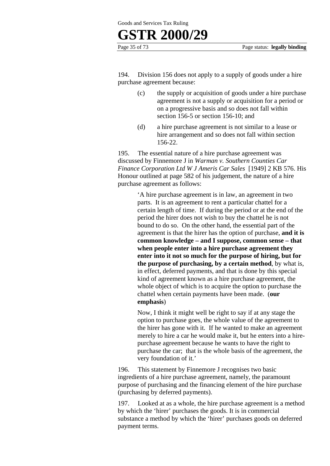## **GSTR 2000/29**

Page 35 of 73 Page status: **legally binding**

194. Division 156 does not apply to a supply of goods under a hire purchase agreement because:

- (c) the supply or acquisition of goods under a hire purchase agreement is not a supply or acquisition for a period or on a progressive basis and so does not fall within section 156-5 or section 156-10; and
- (d) a hire purchase agreement is not similar to a lease or hire arrangement and so does not fall within section 156-22.

195. The essential nature of a hire purchase agreement was discussed by Finnemore J in *Warman v. Southern Counties Car Finance Corporation Ltd W J Ameris Car Sales* [1949] 2 KB 576. His Honour outlined at page 582 of his judgement, the nature of a hire purchase agreement as follows:

> 'A hire purchase agreement is in law, an agreement in two parts. It is an agreement to rent a particular chattel for a certain length of time. If during the period or at the end of the period the hirer does not wish to buy the chattel he is not bound to do so. On the other hand, the essential part of the agreement is that the hirer has the option of purchase, **and it is common knowledge – and I suppose, common sense – that when people enter into a hire purchase agreement they enter into it not so much for the purpose of hiring, but for the purpose of purchasing, by a certain method**, by what is, in effect, deferred payments, and that is done by this special kind of agreement known as a hire purchase agreement, the whole object of which is to acquire the option to purchase the chattel when certain payments have been made. (**our emphasis**)

> Now, I think it might well be right to say if at any stage the option to purchase goes, the whole value of the agreement to the hirer has gone with it. If he wanted to make an agreement merely to hire a car he would make it, but he enters into a hirepurchase agreement because he wants to have the right to purchase the car; that is the whole basis of the agreement, the very foundation of it.'

196. This statement by Finnemore J recognises two basic ingredients of a hire purchase agreement, namely, the paramount purpose of purchasing and the financing element of the hire purchase (purchasing by deferred payments).

197. Looked at as a whole, the hire purchase agreement is a method by which the 'hirer' purchases the goods. It is in commercial substance a method by which the 'hirer' purchases goods on deferred payment terms.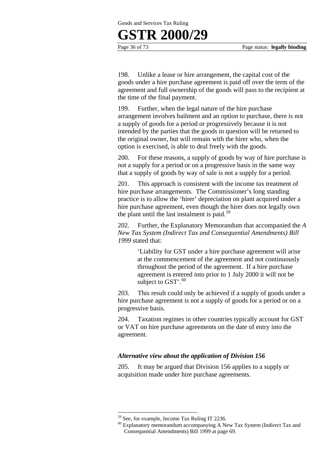

198. Unlike a lease or hire arrangement, the capital cost of the goods under a hire purchase agreement is paid off over the term of the agreement and full ownership of the goods will pass to the recipient at the time of the final payment.

199. Further, when the legal nature of the hire purchase arrangement involves bailment and an option to purchase, there is not a supply of goods for a period or progressively because it is not intended by the parties that the goods in question will be returned to the original owner, but will remain with the hirer who, when the option is exercised, is able to deal freely with the goods.

200. For these reasons, a supply of goods by way of hire purchase is not a supply for a period or on a progressive basis in the same way that a supply of goods by way of sale is not a supply for a period.

201. This approach is consistent with the income tax treatment of hire purchase arrangements. The Commissioner's long standing practice is to allow the 'hirer' depreciation on plant acquired under a hire purchase agreement, even though the hirer does not legally own the plant until the last instalment is paid. $59$ 

202. Further, the Explanatory Memorandum that accompanied the *A New Tax System (Indirect Tax and Consequential Amendments) Bill 1999* stated that:

> 'Liability for GST under a hire purchase agreement will arise at the commencement of the agreement and not continuously throughout the period of the agreement. If a hire purchase agreement is entered into prior to 1 July 2000 it will not be subject to GST'. $^{60}$

203. This result could only be achieved if a supply of goods under a hire purchase agreement is not a supply of goods for a period or on a progressive basis.

204. Taxation regimes in other countries typically account for GST or VAT on hire purchase agreements on the date of entry into the agreement.

# *Alternative view about the application of Division 156*

205. It may be argued that Division 156 applies to a supply or acquisition made under hire purchase agreements.

<sup>59</sup> See, for example, Income Tax Ruling IT 2236.

<sup>&</sup>lt;sup>60</sup> Explanatory memorandum accompanying A New Tax System (Indirect Tax and Consequential Amendments) Bill 1999 at page 69.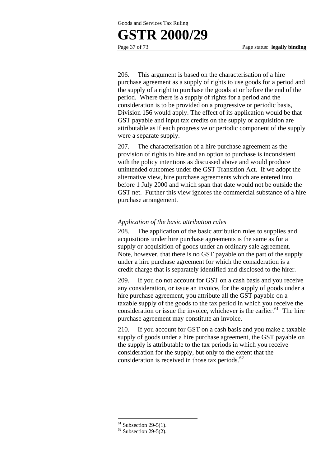# **GSTR 2000/29**

Page 37 of 73 Page status: **legally binding**

206. This argument is based on the characterisation of a hire purchase agreement as a supply of rights to use goods for a period and the supply of a right to purchase the goods at or before the end of the period. Where there is a supply of rights for a period and the consideration is to be provided on a progressive or periodic basis, Division 156 would apply. The effect of its application would be that GST payable and input tax credits on the supply or acquisition are attributable as if each progressive or periodic component of the supply were a separate supply.

207. The characterisation of a hire purchase agreement as the provision of rights to hire and an option to purchase is inconsistent with the policy intentions as discussed above and would produce unintended outcomes under the GST Transition Act. If we adopt the alternative view, hire purchase agreements which are entered into before 1 July 2000 and which span that date would not be outside the GST net. Further this view ignores the commercial substance of a hire purchase arrangement.

# *Application of the basic attribution rules*

208. The application of the basic attribution rules to supplies and acquisitions under hire purchase agreements is the same as for a supply or acquisition of goods under an ordinary sale agreement. Note, however, that there is no GST payable on the part of the supply under a hire purchase agreement for which the consideration is a credit charge that is separately identified and disclosed to the hirer.

209. If you do not account for GST on a cash basis and you receive any consideration, or issue an invoice, for the supply of goods under a hire purchase agreement, you attribute all the GST payable on a taxable supply of the goods to the tax period in which you receive the consideration or issue the invoice, whichever is the earlier.<sup>61</sup> The hire purchase agreement may constitute an invoice.

210. If you account for GST on a cash basis and you make a taxable supply of goods under a hire purchase agreement, the GST payable on the supply is attributable to the tax periods in which you receive consideration for the supply, but only to the extent that the consideration is received in those tax periods. $62$ 

 $61$  Subsection 29-5(1).

 $62$  Subsection 29-5(2).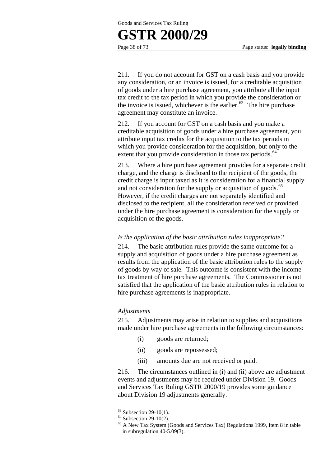# **GSTR 2000/29**

Page 38 of 73 Page status: **legally binding**

211. If you do not account for GST on a cash basis and you provide any consideration, or an invoice is issued, for a creditable acquisition of goods under a hire purchase agreement, you attribute all the input tax credit to the tax period in which you provide the consideration or the invoice is issued, whichever is the earlier. $63$  The hire purchase agreement may constitute an invoice.

212. If you account for GST on a cash basis and you make a creditable acquisition of goods under a hire purchase agreement, you attribute input tax credits for the acquisition to the tax periods in which you provide consideration for the acquisition, but only to the extent that you provide consideration in those tax periods.<sup>64</sup>

213. Where a hire purchase agreement provides for a separate credit charge, and the charge is disclosed to the recipient of the goods, the credit charge is input taxed as it is consideration for a financial supply and not consideration for the supply or acquisition of goods.<sup>65</sup> However, if the credit charges are not separately identified and disclosed to the recipient, all the consideration received or provided under the hire purchase agreement is consideration for the supply or acquisition of the goods.

# *Is the application of the basic attribution rules inappropriate?*

214. The basic attribution rules provide the same outcome for a supply and acquisition of goods under a hire purchase agreement as results from the application of the basic attribution rules to the supply of goods by way of sale. This outcome is consistent with the income tax treatment of hire purchase agreements. The Commissioner is not satisfied that the application of the basic attribution rules in relation to hire purchase agreements is inappropriate.

### *Adjustments*

215. Adjustments may arise in relation to supplies and acquisitions made under hire purchase agreements in the following circumstances:

- (i) goods are returned;
- (ii) goods are repossessed;
- (iii) amounts due are not received or paid.

216. The circumstances outlined in (i) and (ii) above are adjustment events and adjustments may be required under Division 19. Goods and Services Tax Ruling GSTR 2000/19 provides some guidance about Division 19 adjustments generally.

 $63$  Subsection 29-10(1).

 $64$  Subsection 29-10(2).

 $^{65}$  A New Tax System (Goods and Services Tax) Regulations 1999, Item 8 in table in subregulation 40-5.09(3).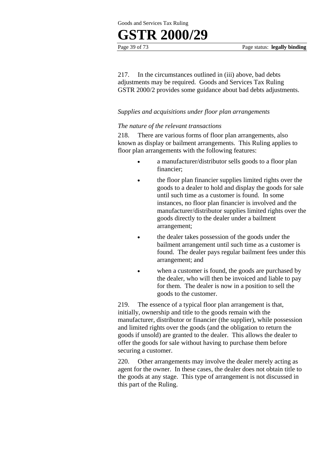# **GSTR 2000/29**

217. In the circumstances outlined in (iii) above, bad debts adjustments may be required. Goods and Services Tax Ruling GSTR 2000/2 provides some guidance about bad debts adjustments.

# *Supplies and acquisitions under floor plan arrangements*

# *The nature of the relevant transactions*

218. There are various forms of floor plan arrangements, also known as display or bailment arrangements. This Ruling applies to floor plan arrangements with the following features:

- a manufacturer/distributor sells goods to a floor plan financier;
- the floor plan financier supplies limited rights over the goods to a dealer to hold and display the goods for sale until such time as a customer is found. In some instances, no floor plan financier is involved and the manufacturer/distributor supplies limited rights over the goods directly to the dealer under a bailment arrangement;
- the dealer takes possession of the goods under the bailment arrangement until such time as a customer is found. The dealer pays regular bailment fees under this arrangement; and
- when a customer is found, the goods are purchased by the dealer, who will then be invoiced and liable to pay for them. The dealer is now in a position to sell the goods to the customer.

219. The essence of a typical floor plan arrangement is that, initially, ownership and title to the goods remain with the manufacturer, distributor or financier (the supplier), while possession and limited rights over the goods (and the obligation to return the goods if unsold) are granted to the dealer. This allows the dealer to offer the goods for sale without having to purchase them before securing a customer.

220. Other arrangements may involve the dealer merely acting as agent for the owner. In these cases, the dealer does not obtain title to the goods at any stage. This type of arrangement is not discussed in this part of the Ruling.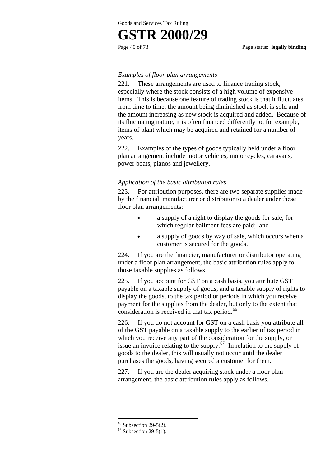# **GSTR 2000/29**

# *Examples of floor plan arrangements*

221. These arrangements are used to finance trading stock, especially where the stock consists of a high volume of expensive items. This is because one feature of trading stock is that it fluctuates from time to time, the amount being diminished as stock is sold and the amount increasing as new stock is acquired and added. Because of its fluctuating nature, it is often financed differently to, for example, items of plant which may be acquired and retained for a number of years.

222. Examples of the types of goods typically held under a floor plan arrangement include motor vehicles, motor cycles, caravans, power boats, pianos and jewellery.

# *Application of the basic attribution rules*

223. For attribution purposes, there are two separate supplies made by the financial, manufacturer or distributor to a dealer under these floor plan arrangements:

- a supply of a right to display the goods for sale, for which regular bailment fees are paid; and
- a supply of goods by way of sale, which occurs when a customer is secured for the goods.

224. If you are the financier, manufacturer or distributor operating under a floor plan arrangement, the basic attribution rules apply to those taxable supplies as follows.

225. If you account for GST on a cash basis, you attribute GST payable on a taxable supply of goods, and a taxable supply of rights to display the goods, to the tax period or periods in which you receive payment for the supplies from the dealer, but only to the extent that consideration is received in that tax period.<sup>66</sup>

226. If you do not account for GST on a cash basis you attribute all of the GST payable on a taxable supply to the earlier of tax period in which you receive any part of the consideration for the supply, or issue an invoice relating to the supply.<sup>67</sup> In relation to the supply of goods to the dealer, this will usually not occur until the dealer purchases the goods, having secured a customer for them.

227. If you are the dealer acquiring stock under a floor plan arrangement, the basic attribution rules apply as follows.

 $66$  Subsection 29-5(2).

 $67$  Subsection 29-5(1).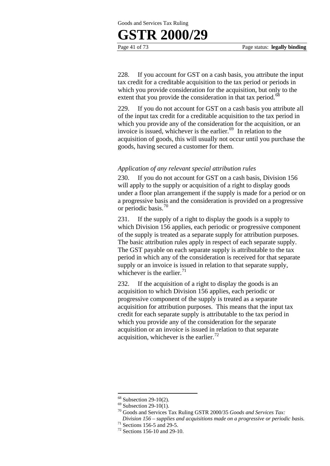

228. If you account for GST on a cash basis, you attribute the input tax credit for a creditable acquisition to the tax period or periods in which you provide consideration for the acquisition, but only to the extent that you provide the consideration in that tax period.<sup>68</sup>

229. If you do not account for GST on a cash basis you attribute all of the input tax credit for a creditable acquisition to the tax period in which you provide any of the consideration for the acquisition, or an invoice is issued, whichever is the earlier. $69$  In relation to the acquisition of goods, this will usually not occur until you purchase the goods, having secured a customer for them.

# *Application of any relevant special attribution rules*

230. If you do not account for GST on a cash basis, Division 156 will apply to the supply or acquisition of a right to display goods under a floor plan arrangement if the supply is made for a period or on a progressive basis and the consideration is provided on a progressive or periodic basis.<sup>70</sup>

231. If the supply of a right to display the goods is a supply to which Division 156 applies, each periodic or progressive component of the supply is treated as a separate supply for attribution purposes. The basic attribution rules apply in respect of each separate supply. The GST payable on each separate supply is attributable to the tax period in which any of the consideration is received for that separate supply or an invoice is issued in relation to that separate supply, whichever is the earlier. $71$ 

232. If the acquisition of a right to display the goods is an acquisition to which Division 156 applies, each periodic or progressive component of the supply is treated as a separate acquisition for attribution purposes. This means that the input tax credit for each separate supply is attributable to the tax period in which you provide any of the consideration for the separate acquisition or an invoice is issued in relation to that separate acquisition, whichever is the earlier.<sup>72</sup>

<sup>1</sup>  $68$  Subsection 29-10(2).

 $69$  Subsection 29-10(1).

<sup>70</sup> Goods and Services Tax Ruling GSTR 2000/35 *Goods and Services Tax:* 

*Division 156 – supplies and acquisitions made on a progressive or periodic basis.* 71 Sections 156-5 and 29-5.

<sup>72</sup> Sections 156-10 and 29-10.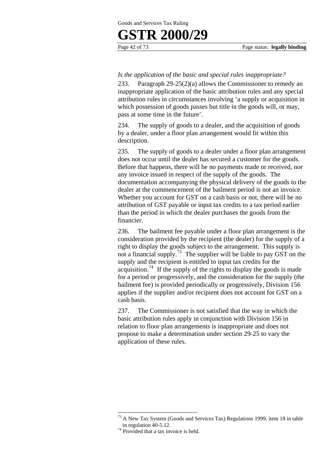# *Is the application of the basic and special rules inappropriate?*

233. Paragraph 29-25(2)(a) allows the Commissioner to remedy an inappropriate application of the basic attribution rules and any special attribution rules in circumstances involving 'a supply or acquisition in which possession of goods passes but title in the goods will, or may, pass at some time in the future'.

234. The supply of goods to a dealer, and the acquisition of goods by a dealer, under a floor plan arrangement would fit within this description.

235. The supply of goods to a dealer under a floor plan arrangement does not occur until the dealer has secured a customer for the goods. Before that happens, there will be no payments made or received, nor any invoice issued in respect of the supply of the goods. The documentation accompanying the physical delivery of the goods to the dealer at the commencement of the bailment period is not an invoice. Whether you account for GST on a cash basis or not, there will be no attribution of GST payable or input tax credits to a tax period earlier than the period in which the dealer purchases the goods from the financier.

236. The bailment fee payable under a floor plan arrangement is the consideration provided by the recipient (the dealer) for the supply of a right to display the goods subject to the arrangement. This supply is not a financial supply.<sup>73</sup> The supplier will be liable to pay GST on the supply and the recipient is entitled to input tax credits for the acquisition.<sup>74</sup> If the supply of the rights to display the goods is made for a period or progressively, and the consideration for the supply (the bailment fee) is provided periodically or progressively, Division 156 applies if the supplier and/or recipient does not account for GST on a cash basis.

237. The Commissioner is not satisfied that the way in which the basic attribution rules apply in conjunction with Division 156 in relation to floor plan arrangements is inappropriate and does not propose to make a determination under section 29-25 to vary the application of these rules.

 $73$  A New Tax System (Goods and Services Tax) Regulations 1999, item 18 in table in regulation 40-5.12.<br><sup>74</sup> Provided that a tax invoice is held.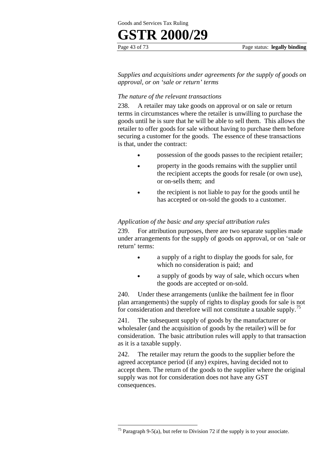# **GSTR 2000/29**

Page 43 of 73 Page status: **legally binding**

*Supplies and acquisitions under agreements for the supply of goods on approval, or on 'sale or return' terms* 

# *The nature of the relevant transactions*

238. A retailer may take goods on approval or on sale or return terms in circumstances where the retailer is unwilling to purchase the goods until he is sure that he will be able to sell them. This allows the retailer to offer goods for sale without having to purchase them before securing a customer for the goods. The essence of these transactions is that, under the contract:

- possession of the goods passes to the recipient retailer;
- property in the goods remains with the supplier until the recipient accepts the goods for resale (or own use), or on-sells them; and
- the recipient is not liable to pay for the goods until he has accepted or on-sold the goods to a customer.

# *Application of the basic and any special attribution rules*

239. For attribution purposes, there are two separate supplies made under arrangements for the supply of goods on approval, or on 'sale or return' terms:

- a supply of a right to display the goods for sale, for which no consideration is paid; and
- a supply of goods by way of sale, which occurs when the goods are accepted or on-sold.

240. Under these arrangements (unlike the bailment fee in floor plan arrangements) the supply of rights to display goods for sale is not for consideration and therefore will not constitute a taxable supply.<sup>75</sup>

241. The subsequent supply of goods by the manufacturer or wholesaler (and the acquisition of goods by the retailer) will be for consideration. The basic attribution rules will apply to that transaction as it is a taxable supply.

242. The retailer may return the goods to the supplier before the agreed acceptance period (if any) expires, having decided not to accept them. The return of the goods to the supplier where the original supply was not for consideration does not have any GST consequences.

<sup>&</sup>lt;sup>75</sup> Paragraph 9-5(a), but refer to Division 72 if the supply is to your associate.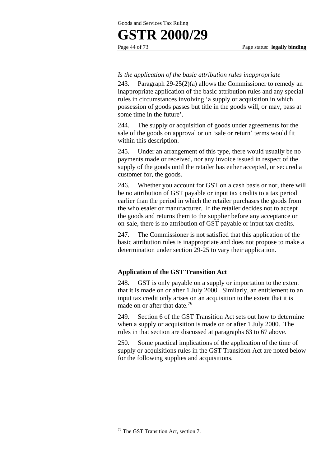# *Is the application of the basic attribution rules inappropriate*

243. Paragraph 29-25(2)(a) allows the Commissioner to remedy an inappropriate application of the basic attribution rules and any special rules in circumstances involving 'a supply or acquisition in which possession of goods passes but title in the goods will, or may, pass at some time in the future'.

244. The supply or acquisition of goods under agreements for the sale of the goods on approval or on 'sale or return' terms would fit within this description.

245. Under an arrangement of this type, there would usually be no payments made or received, nor any invoice issued in respect of the supply of the goods until the retailer has either accepted, or secured a customer for, the goods.

246. Whether you account for GST on a cash basis or nor, there will be no attribution of GST payable or input tax credits to a tax period earlier than the period in which the retailer purchases the goods from the wholesaler or manufacturer. If the retailer decides not to accept the goods and returns them to the supplier before any acceptance or on-sale, there is no attribution of GST payable or input tax credits.

247. The Commissioner is not satisfied that this application of the basic attribution rules is inappropriate and does not propose to make a determination under section 29-25 to vary their application.

# **Application of the GST Transition Act**

248. GST is only payable on a supply or importation to the extent that it is made on or after 1 July 2000. Similarly, an entitlement to an input tax credit only arises on an acquisition to the extent that it is made on or after that date. $76$ 

249. Section 6 of the GST Transition Act sets out how to determine when a supply or acquisition is made on or after 1 July 2000. The rules in that section are discussed at paragraphs 63 to 67 above.

250. Some practical implications of the application of the time of supply or acquisitions rules in the GST Transition Act are noted below for the following supplies and acquisitions.

<sup>76</sup> The GST Transition Act, section 7.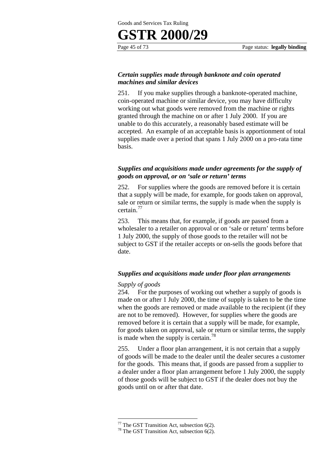# **GSTR 2000/29**

# *Certain supplies made through banknote and coin operated machines and similar devices*

251. If you make supplies through a banknote-operated machine, coin-operated machine or similar device, you may have difficulty working out what goods were removed from the machine or rights granted through the machine on or after 1 July 2000. If you are unable to do this accurately, a reasonably based estimate will be accepted. An example of an acceptable basis is apportionment of total supplies made over a period that spans 1 July 2000 on a pro-rata time basis.

# *Supplies and acquisitions made under agreements for the supply of goods on approval, or on 'sale or return' terms*

252. For supplies where the goods are removed before it is certain that a supply will be made, for example, for goods taken on approval, sale or return or similar terms, the supply is made when the supply is certain.<sup>77</sup>

253. This means that, for example, if goods are passed from a wholesaler to a retailer on approval or on 'sale or return' terms before 1 July 2000, the supply of those goods to the retailer will not be subject to GST if the retailer accepts or on-sells the goods before that date.

### *Supplies and acquisitions made under floor plan arrangements*

### *Supply of goods*

1

254. For the purposes of working out whether a supply of goods is made on or after 1 July 2000, the time of supply is taken to be the time when the goods are removed or made available to the recipient (if they are not to be removed). However, for supplies where the goods are removed before it is certain that a supply will be made, for example, for goods taken on approval, sale or return or similar terms, the supply is made when the supply is certain.<sup>78</sup>

255. Under a floor plan arrangement, it is not certain that a supply of goods will be made to the dealer until the dealer secures a customer for the goods. This means that, if goods are passed from a supplier to a dealer under a floor plan arrangement before 1 July 2000, the supply of those goods will be subject to GST if the dealer does not buy the goods until on or after that date.

 $77$  The GST Transition Act, subsection 6(2).

<sup>&</sup>lt;sup>78</sup> The GST Transition Act, subsection 6(2).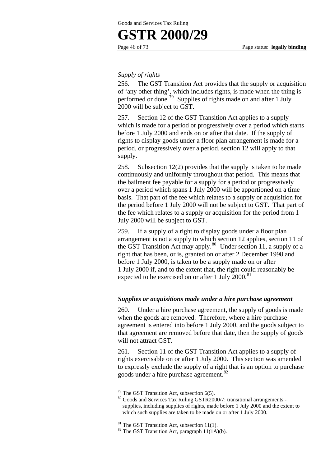# *Supply of rights*

256. The GST Transition Act provides that the supply or acquisition of 'any other thing', which includes rights, is made when the thing is performed or done.<sup>79</sup> Supplies of rights made on and after 1 July 2000 will be subject to GST.

257. Section 12 of the GST Transition Act applies to a supply which is made for a period or progressively over a period which starts before 1 July 2000 and ends on or after that date. If the supply of rights to display goods under a floor plan arrangement is made for a period, or progressively over a period, section 12 will apply to that supply.

258. Subsection 12(2) provides that the supply is taken to be made continuously and uniformly throughout that period. This means that the bailment fee payable for a supply for a period or progressively over a period which spans 1 July 2000 will be apportioned on a time basis. That part of the fee which relates to a supply or acquisition for the period before 1 July 2000 will not be subject to GST. That part of the fee which relates to a supply or acquisition for the period from 1 July 2000 will be subject to GST.

259. If a supply of a right to display goods under a floor plan arrangement is not a supply to which section 12 applies, section 11 of the GST Transition Act may apply.<sup>80</sup> Under section 11, a supply of a right that has been, or is, granted on or after 2 December 1998 and before 1 July 2000, is taken to be a supply made on or after 1 July 2000 if, and to the extent that, the right could reasonably be expected to be exercised on or after 1 July  $2000$ .<sup>81</sup>

### *Supplies or acquisitions made under a hire purchase agreement*

260. Under a hire purchase agreement, the supply of goods is made when the goods are removed. Therefore, where a hire purchase agreement is entered into before 1 July 2000, and the goods subject to that agreement are removed before that date, then the supply of goods will not attract GST.

261. Section 11 of the GST Transition Act applies to a supply of rights exercisable on or after 1 July 2000. This section was amended to expressly exclude the supply of a right that is an option to purchase goods under a hire purchase agreement.<sup>82</sup>

<sup>&</sup>lt;sup>79</sup> The GST Transition Act, subsection  $6(5)$ .

<sup>80</sup> Goods and Services Tax Ruling GSTR2000/7: transitional arrangements supplies, including supplies of rights, made before 1 July 2000 and the extent to which such supplies are taken to be made on or after 1 July 2000.

 $81$  The GST Transition Act, subsection 11(1).

 $82$  The GST Transition Act, paragraph 11(1A)(b).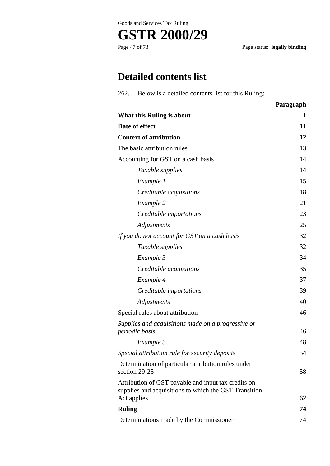



Page status: **legally binding** 

# **Detailed contents list**

| Below is a detailed contents list for this Ruling:<br>262.                                                   |           |
|--------------------------------------------------------------------------------------------------------------|-----------|
|                                                                                                              | Paragraph |
| What this Ruling is about                                                                                    | 1         |
| Date of effect                                                                                               | 11        |
| <b>Context of attribution</b>                                                                                | 12        |
| The basic attribution rules                                                                                  | 13        |
| Accounting for GST on a cash basis                                                                           | 14        |
| Taxable supplies                                                                                             | 14        |
| Example 1                                                                                                    | 15        |
| Creditable acquisitions                                                                                      | 18        |
| Example 2                                                                                                    | 21        |
| Creditable importations                                                                                      | 23        |
| Adjustments                                                                                                  | 25        |
| If you do not account for GST on a cash basis                                                                | 32        |
| Taxable supplies                                                                                             | 32        |
| Example 3                                                                                                    | 34        |
| Creditable acquisitions                                                                                      | 35        |
| Example 4                                                                                                    | 37        |
| Creditable importations                                                                                      | 39        |
| Adjustments                                                                                                  | 40        |
| Special rules about attribution                                                                              | 46        |
| Supplies and acquisitions made on a progressive or<br>periodic basis                                         | 46        |
| Example 5                                                                                                    | 48        |
| Special attribution rule for security deposits                                                               | 54        |
| Determination of particular attribution rules under<br>section 29-25                                         | 58        |
| Attribution of GST payable and input tax credits on<br>supplies and acquisitions to which the GST Transition |           |
| Act applies                                                                                                  | 62        |
| <b>Ruling</b>                                                                                                | 74        |
| Determinations made by the Commissioner                                                                      | 74        |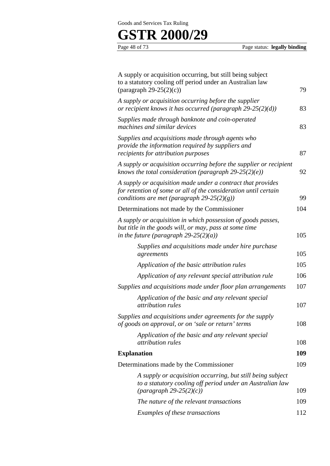# **GSTR 2000/29** Page 48 of 73

Page status: **legally binding** 

| A supply or acquisition occurring, but still being subject<br>to a statutory cooling off period under an Australian law<br>(paragraph $29-25(2)(c)$ )                        | 79  |
|------------------------------------------------------------------------------------------------------------------------------------------------------------------------------|-----|
| A supply or acquisition occurring before the supplier<br>or recipient knows it has occurred (paragraph $29-25(2)(d)$ )                                                       | 83  |
| Supplies made through banknote and coin-operated<br>machines and similar devices                                                                                             | 83  |
| Supplies and acquisitions made through agents who<br>provide the information required by suppliers and<br>recipients for attribution purposes                                | 87  |
| A supply or acquisition occurring before the supplier or recipient<br>knows the total consideration (paragraph $29-25(2)(e)$ )                                               | 92  |
| A supply or acquisition made under a contract that provides<br>for retention of some or all of the consideration until certain<br>conditions are met (paragraph 29-25(2)(g)) | 99  |
| Determinations not made by the Commissioner                                                                                                                                  | 104 |
| A supply or acquisition in which possession of goods passes,<br>but title in the goods will, or may, pass at some time<br>in the future (paragraph 29-25(2)(a))              | 105 |
| Supplies and acquisitions made under hire purchase<br>agreements                                                                                                             | 105 |
| Application of the basic attribution rules                                                                                                                                   | 105 |
| Application of any relevant special attribution rule                                                                                                                         | 106 |
| Supplies and acquisitions made under floor plan arrangements                                                                                                                 | 107 |
| Application of the basic and any relevant special<br><i>attribution rules</i>                                                                                                | 107 |
| Supplies and acquisitions under agreements for the supply<br>of goods on approval, or on 'sale or return' terms                                                              | 108 |
| Application of the basic and any relevant special<br><i>attribution rules</i>                                                                                                | 108 |
| <b>Explanation</b>                                                                                                                                                           | 109 |
| Determinations made by the Commissioner                                                                                                                                      | 109 |
| A supply or acquisition occurring, but still being subject<br>to a statutory cooling off period under an Australian law<br>$\frac{1}{2}$ (paragraph 29-25(2)(c))             | 109 |
| The nature of the relevant transactions                                                                                                                                      | 109 |
| Examples of these transactions                                                                                                                                               | 112 |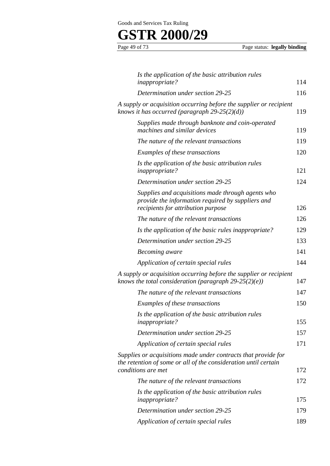# **GSTR 2000/29**

Page status: **legally binding** 

| Is the application of the basic attribution rules<br><i>inappropriate?</i>                                                                              | 114 |
|---------------------------------------------------------------------------------------------------------------------------------------------------------|-----|
| Determination under section 29-25                                                                                                                       | 116 |
| A supply or acquisition occurring before the supplier or recipient<br>knows it has occurred (paragraph $29-25(2)(d)$ )                                  | 119 |
| Supplies made through banknote and coin-operated<br>machines and similar devices                                                                        | 119 |
| The nature of the relevant transactions                                                                                                                 | 119 |
| Examples of these transactions                                                                                                                          | 120 |
| Is the application of the basic attribution rules<br><i>inappropriate?</i>                                                                              | 121 |
| Determination under section 29-25                                                                                                                       | 124 |
| Supplies and acquisitions made through agents who<br>provide the information required by suppliers and<br>recipients for attribution purpose            | 126 |
| The nature of the relevant transactions                                                                                                                 | 126 |
| Is the application of the basic rules inappropriate?                                                                                                    | 129 |
| Determination under section 29-25                                                                                                                       | 133 |
| Becoming aware                                                                                                                                          | 141 |
| Application of certain special rules                                                                                                                    | 144 |
| A supply or acquisition occurring before the supplier or recipient<br>knows the total consideration (paragraph $29-25(2)(e)$ )                          | 147 |
| The nature of the relevant transactions                                                                                                                 | 147 |
| Examples of these transactions                                                                                                                          | 150 |
| Is the application of the basic attribution rules<br><i>inappropriate?</i>                                                                              | 155 |
| Determination under section 29-25                                                                                                                       | 157 |
| Application of certain special rules                                                                                                                    | 171 |
| Supplies or acquisitions made under contracts that provide for<br>the retention of some or all of the consideration until certain<br>conditions are met | 172 |
| The nature of the relevant transactions                                                                                                                 | 172 |
| Is the application of the basic attribution rules                                                                                                       |     |
| <i>inappropriate?</i>                                                                                                                                   | 175 |
| Determination under section 29-25                                                                                                                       | 179 |
| Application of certain special rules                                                                                                                    | 189 |
|                                                                                                                                                         |     |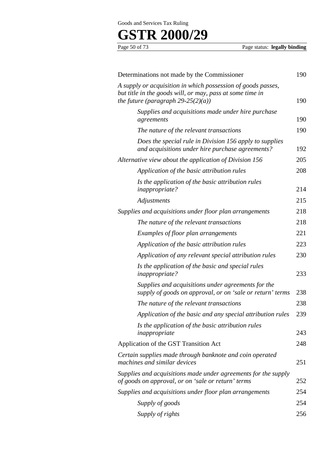# **GSTR 2000/29**

Page status: **legally binding** 

| Determinations not made by the Commissioner                                                                                                                     | 190 |
|-----------------------------------------------------------------------------------------------------------------------------------------------------------------|-----|
| A supply or acquisition in which possession of goods passes,<br>but title in the goods will, or may, pass at some time in<br>the future (paragraph 29-25(2)(a)) | 190 |
| Supplies and acquisitions made under hire purchase                                                                                                              |     |
| agreements                                                                                                                                                      | 190 |
| The nature of the relevant transactions                                                                                                                         | 190 |
| Does the special rule in Division 156 apply to supplies<br>and acquisitions under hire purchase agreements?                                                     | 192 |
| Alternative view about the application of Division 156                                                                                                          | 205 |
| Application of the basic attribution rules                                                                                                                      | 208 |
| Is the application of the basic attribution rules<br><i>inappropriate?</i>                                                                                      | 214 |
| Adjustments                                                                                                                                                     | 215 |
| Supplies and acquisitions under floor plan arrangements                                                                                                         | 218 |
| The nature of the relevant transactions                                                                                                                         | 218 |
| Examples of floor plan arrangements                                                                                                                             | 221 |
| Application of the basic attribution rules                                                                                                                      | 223 |
| Application of any relevant special attribution rules                                                                                                           | 230 |
| Is the application of the basic and special rules<br><i>inappropriate?</i>                                                                                      | 233 |
| Supplies and acquisitions under agreements for the<br>supply of goods on approval, or on 'sale or return' terms                                                 | 238 |
| The nature of the relevant transactions                                                                                                                         | 238 |
| Application of the basic and any special attribution rules                                                                                                      | 239 |
| Is the application of the basic attribution rules                                                                                                               |     |
| inappropriate                                                                                                                                                   | 243 |
| Application of the GST Transition Act                                                                                                                           | 248 |
| Certain supplies made through banknote and coin operated<br>machines and similar devices                                                                        | 251 |
| Supplies and acquisitions made under agreements for the supply<br>of goods on approval, or on 'sale or return' terms                                            | 252 |
| Supplies and acquisitions under floor plan arrangements                                                                                                         | 254 |
| Supply of goods                                                                                                                                                 | 254 |
| Supply of rights                                                                                                                                                | 256 |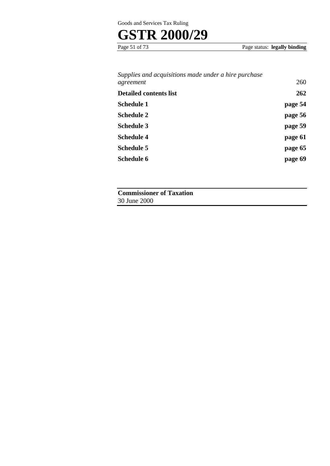# **GSTR 2000/29**

Page 51 of 73 Page status: **legally binding** 

# *Supplies and acquisitions made under a hire purchase agreement* 260

| <b>Detailed contents list</b> | 262     |
|-------------------------------|---------|
| <b>Schedule 1</b>             | page 54 |
| <b>Schedule 2</b>             | page 56 |
| <b>Schedule 3</b>             | page 59 |
| <b>Schedule 4</b>             | page 61 |
| <b>Schedule 5</b>             | page 65 |
| <b>Schedule 6</b>             | page 69 |

**Commissioner of Taxation**  30 June 2000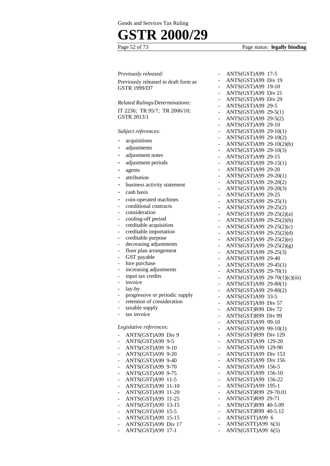# **GSTR 2000/29**

# Page status: **legally binding**

|                          | Previously released:                                         |                          | ANTS(          |
|--------------------------|--------------------------------------------------------------|--------------------------|----------------|
|                          | Previously released in draft form as                         |                          | ANTS(          |
|                          | <b>GSTR 1999/D7</b>                                          | -                        | ANTS(          |
|                          |                                                              | -                        | ANTS(          |
|                          | <b>Related Rulings/Determinations:</b>                       | Ξ.                       | ANTS(          |
|                          |                                                              | Ξ.                       | ANTS(          |
|                          | IT 2236; TR 95/7; TR 2006/10;                                | Ξ.                       | ANTS(          |
|                          | GSTR 2013/1                                                  |                          | ANTS(          |
|                          |                                                              | $\overline{\phantom{0}}$ | ANTS(          |
|                          | Subject references:                                          |                          | ANTS(          |
|                          | acquisitions                                                 |                          | ANTS(          |
|                          | adjustments                                                  |                          | ANTS(<br>ANTS( |
| -                        | adjustment notes                                             |                          | ANTS(          |
| -                        | adjustment periods                                           |                          | ANTS(          |
|                          |                                                              | н.                       | ANTS(          |
|                          | agents                                                       | $\sim$                   | ANTS(          |
|                          | attribution                                                  | ۰.                       | ANTS(          |
| -                        | business activity statement                                  | ۰.                       | ANTS(          |
| -                        | cash basis                                                   | $\overline{\phantom{a}}$ | ANTS(          |
| -                        | coin-operated machines                                       | Ξ.                       | ANTS(          |
|                          | conditional contracts                                        | -                        | ANTS(          |
| -                        | consideration                                                |                          | ANTS(          |
|                          | cooling-off period                                           |                          | ANTS(          |
|                          | creditable acquisition                                       | -                        | ANTS(          |
| ÷                        | creditable importation                                       | $\overline{\phantom{0}}$ | ANTS(          |
| -                        | creditable purpose                                           | Ξ.                       | ANTS(          |
| -                        | decreasing adjustments                                       | н.                       | ANTS(          |
| -                        | floor plan arrangement                                       | н.                       | ANTS(          |
|                          | GST payable                                                  | ۰.                       | ANTS(          |
|                          | hire purchase                                                | н.                       | ANTS(          |
|                          | increasing adjustments                                       | $\overline{\phantom{0}}$ | ANTS(          |
|                          | input tax credits                                            | -                        | ANTS(          |
|                          | invoice                                                      | -                        | ANTS(          |
|                          | lay-by                                                       |                          | ANTS(          |
|                          | progressive or periodic supply<br>retention of consideration | $\overline{\phantom{0}}$ | ANTS(          |
|                          |                                                              | -                        | ANTS(          |
| $\overline{\phantom{0}}$ | taxable supply<br>tax invoice                                | $\overline{\phantom{0}}$ | ANTS(          |
| -                        |                                                              |                          | ANTS(          |
|                          | Legislative references:                                      |                          | ANTS(          |
|                          |                                                              | -                        | ANTS(          |
| -                        | ANTS(GST)A99 Div 9                                           | -                        | ANTS(          |
|                          | ANTS(GST)A99 9-5                                             | -                        | ANTS(          |
| ۰                        | ANTS(GST)A99 9-10                                            | Ξ.                       | ANTS(          |
| -                        | $ANTS(GST)$ A99 9-20                                         | ۰                        | ANTS(<br>ANTS( |
| -                        | ANTS(GST)A99 9-40<br>ANTS(GST)A99 9-70                       | -                        | ANTS(          |
| -                        | ANTS(GST)A99 9-75                                            |                          | ANTS(          |
|                          | ANTS(GST)A99 11-5                                            | $\overline{\phantom{0}}$ | ANTS(          |
|                          | ANTS(GST)A99 11-10                                           | -                        | ANTS(          |
|                          | ANTS(GST)A99<br>11-20                                        | -                        | ANTS(          |
| -                        | ANTS(GST)A99 11-25                                           | Ξ.                       | ANTS(          |
| -                        | ANTS(GST)A99 13-15                                           | Ξ.                       | ANTS(          |
| -                        | ANTS(GST)A99 15-5                                            | -                        | ANTS(          |
| -                        | ANTS(GST)A99 15-15                                           | Ξ.                       | ANTS(          |
| -                        | ANTS(GST)A99 Div 17                                          | $\overline{\phantom{0}}$ | ANTS(          |
| $\overline{\phantom{0}}$ | ANTS(GST)A99 17-1                                            | -                        | ANTS(          |
|                          |                                                              |                          |                |

|   | ANTS(GST)A99  | $17-5$             |
|---|---------------|--------------------|
|   | ANTS(GST)A99  | Div 19             |
|   | ANTS(GST)A99  | 19-10              |
|   |               |                    |
|   | ANTS(GST)A99  | Div 21             |
|   | ANTS(GST)A99  | Div <sub>29</sub>  |
|   | ANTS(GST)A99  | 29-5               |
|   | ANTS(GST)A99  | $29-5(1)$          |
|   | ANTS(GST)A99  | $29-5(2)$          |
|   | ANTS(GST)A99  | $29-10$            |
|   | ANTS(GST)A99  | $29-10(1)$         |
|   | ANTS(GST)A99  | $29-10(2)$         |
|   | ANTS(GST)A99  | $29-10(2)(b)$      |
|   | ANTS(GST)A99  | $29-10(3)$         |
|   |               | 29-15              |
| - | ANTS(GST)A99  |                    |
|   | ANTS(GST)A99  | $29-15(1)$         |
|   | ANTS(GST)A99  | 29-20              |
| - | ANTS(GST)A99  | $29-20(1)$         |
|   | ANTS(GST)A99  | $29-20(2)$         |
|   | ANTS(GST)A99  | $29-20(3)$         |
|   | ANTS(GST)A99  | 29-25              |
|   | ANTS(GST)A99  | $29-25(1)$         |
|   | ANTS(GST)A99  | $29-25(2)$         |
|   | ANTS(GST)A99  | $29-25(2)(a)$      |
| - | ANTS(GST)A99  | $29-25(2)(b)$      |
|   |               |                    |
|   | ANTS(GST)A99  | $29-25(2)(c)$      |
| - | ANTS(GST)A99  | $29-25(2)(d)$      |
|   | ANTS(GST)A99  | $29-25(2)(e)$      |
|   | ANTS(GST)A99  | $29-25(2)(g)$      |
|   | ANTS(GST)A99  | $29-25(3)$         |
|   | ANTS(GST)A99  | 29-40              |
|   | ANTS(GST)A99  | $29-45(1)$         |
|   | ANTS(GST)A99  | $29-70(1)$         |
|   | ANTS(GST)A99  | $29-70(1)(c)(iii)$ |
|   | ANTS(GST)A99  | $29 - 80(1)$       |
|   | ANTS(GST)A99  | $29 - 80(2)$       |
|   | ANTS(GST)A99  | 33-5               |
|   |               |                    |
|   | ANTS(GST)A99  | Div <sub>57</sub>  |
| - | ANTS(GST)R99  | Div <sub>72</sub>  |
|   | ANTS(GST)R99  | Div 99             |
|   | ANTS(GST)A99  | 99-10              |
|   | ANTS(GST)A99  | $99-10(1)$         |
|   | ANTS(GST)R99  | Div 129            |
|   | ANTS(GST)A99  | 129-20             |
|   | ANTS(GST)A99  | 129-90             |
|   | ANTS(GST)A99  | Div 153            |
|   | ANTS(GST)A99  | Div 156            |
|   | ANTS(GST)A99  | 156-5              |
|   |               |                    |
|   | ANTS(GST)A99  | 156-10             |
|   | ANTS(GST)A99  | 156-22             |
|   | ANTS(GST)A99  | 195-1              |
|   | ANTS(GST)R99  | 29-70.01           |
|   | ANTS(GST)R99  | 29-71              |
|   | ANTS(GST)R99  | 40-5.09            |
|   | ANTS(GST)R99  | 40-5.12            |
|   | ANTS(GSTT)A99 | 6                  |
|   | ANTS(GSTT)A99 | 6(3)               |
|   | $\mathbf{m}$  |                    |

 $(GSTT)A99 6(5)$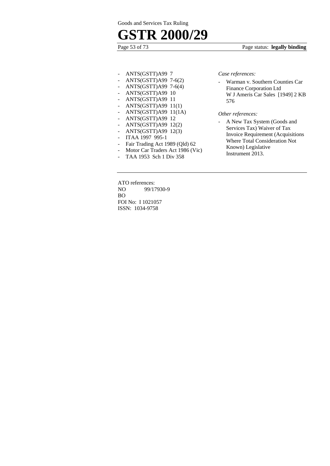# **GSTR 2000/29**

### Page 53 of 73 Page status: **legally binding**

- ANTS(GSTT)A99 7
- ANTS(GSTT)A99 7-6(2)
- ANTS(GSTT)A99 7-6(4)
- ANTS(GSTT)A99 10
- ANTS(GSTT)A99 11
- ANTS(GSTT)A99 11(1)
- ANTS(GSTT)A99 11(1A)
- ANTS(GSTT)A99 12
- ANTS(GSTT)A99 12(2)
- ANTS(GSTT)A99 12(3)
- ITAA 1997 995-1
- Fair Trading Act 1989 (Qld) 62
- Motor Car Traders Act 1986 (Vic)
- TAA 1953 Sch 1 Div 358

ATO references: NO 99/17930-9 BO FOI No: I 1021057 ISSN: 1034-9758

*Case references:* 

- Warman v. Southern Counties Car Finance Corporation Ltd W J Ameris Car Sales [1949] 2 KB 576

#### *Other references:*

- A New Tax System (Goods and Services Tax) Waiver of Tax Invoice Requirement (Acquisitions Where Total Consideration Not Known) Legislative Instrument 2013.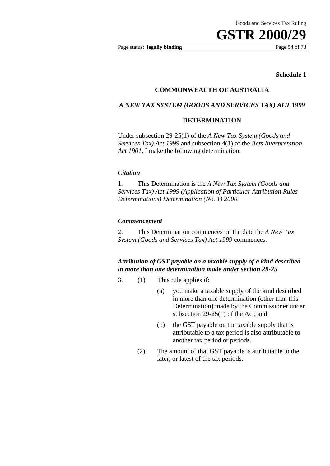Page status: **legally binding** Page 54 of 73

#### **Schedule 1**

## **COMMONWEALTH OF AUSTRALIA**

#### *A NEW TAX SYSTEM (GOODS AND SERVICES TAX) ACT 1999*

#### **DETERMINATION**

Under subsection 29-25(1) of the *A New Tax System (Goods and Services Tax) Act 1999* and subsection 4(1) of the *Acts Interpretation Act 1901,* I make the following determination:

#### *Citation*

1. This Determination is the *A New Tax System (Goods and Services Tax) Act 1999 (Application of Particular Attribution Rules Determinations) Determination (No. 1) 2000.* 

#### *Commencement*

2. This Determination commences on the date the *A New Tax System (Goods and Services Tax) Act 1999* commences.

*Attribution of GST payable on a taxable supply of a kind described in more than one determination made under section 29-25* 

- 3. (1) This rule applies if:
	- (a) you make a taxable supply of the kind described in more than one determination (other than this Determination) made by the Commissioner under subsection 29-25(1) of the Act; and
	- (b) the GST payable on the taxable supply that is attributable to a tax period is also attributable to another tax period or periods.
	- (2) The amount of that GST payable is attributable to the later, or latest of the tax periods.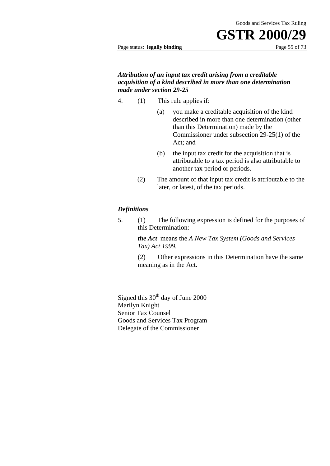#### Page status: **legally binding** Page 55 of 73

### *Attribution of an input tax credit arising from a creditable acquisition of a kind described in more than one determination made under section 29-25*

- 4. (1) This rule applies if:
	- (a) you make a creditable acquisition of the kind described in more than one determination (other than this Determination) made by the Commissioner under subsection 29-25(1) of the Act; and
	- (b) the input tax credit for the acquisition that is attributable to a tax period is also attributable to another tax period or periods.
	- (2) The amount of that input tax credit is attributable to the later, or latest, of the tax periods.

### *Definitions*

5. (1) The following expression is defined for the purposes of this Determination:

> *the Act* means the *A New Tax System (Goods and Services Tax) Act 1999.*

(2) Other expressions in this Determination have the same meaning as in the Act.

Signed this  $30<sup>th</sup>$  day of June 2000 Marilyn Knight Senior Tax Counsel Goods and Services Tax Program Delegate of the Commissioner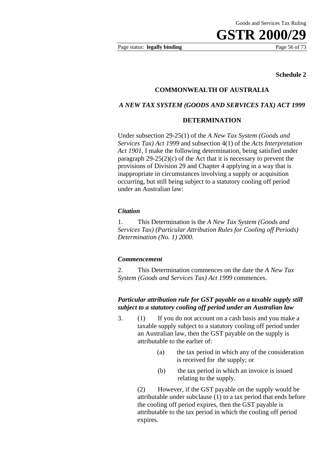Page status: **legally binding** Page 56 of 73

#### **Schedule 2**

#### **COMMONWEALTH OF AUSTRALIA**

### *A NEW TAX SYSTEM (GOODS AND SERVICES TAX) ACT 1999*

### **DETERMINATION**

Under subsection 29-25(1) of the *A New Tax System (Goods and Services Tax) Act 1999* and subsection 4(1) of the *Acts Interpretation Act 1901,* I make the following determination, being satisfied under paragraph  $29-25(2)(c)$  of the Act that it is necessary to prevent the provisions of Division 29 and Chapter 4 applying in a way that is inappropriate in circumstances involving a supply or acquisition occurring, but still being subject to a statutory cooling off period under an Australian law:

#### *Citation*

1. This Determination is the *A New Tax System (Goods and Services Tax) (Particular Attribution Rules for Cooling off Periods) Determination (No. 1) 2000.* 

#### *Commencement*

2. This Determination commences on the date the *A New Tax System (Goods and Services Tax) Act 1999* commences.

### *Particular attribution rule for GST payable on a taxable supply still subject to a statutory cooling off period under an Australian law*

- 3. (1) If you do not account on a cash basis and you make a taxable supply subject to a statutory cooling off period under an Australian law, then the GST payable on the supply is attributable to the earlier of:
	- (a) the tax period in which any of the consideration is received for the supply; or
	- (b) the tax period in which an invoice is issued relating to the supply.

(2) However, if the GST payable on the supply would be attributable under subclause (1) to a tax period that ends before the cooling off period expires, then the GST payable is attributable to the tax period in which the cooling off period expires.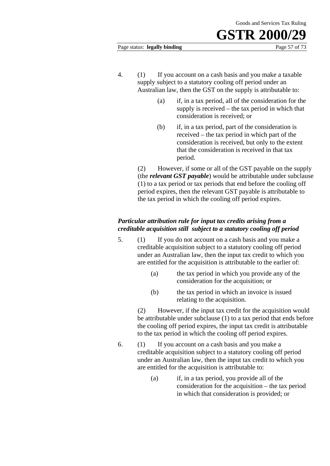#### Page status: **legally binding** Page 57 of 73

- 4. (1) If you account on a cash basis and you make a taxable supply subject to a statutory cooling off period under an Australian law, then the GST on the supply is attributable to:
	- (a) if, in a tax period, all of the consideration for the supply is received – the tax period in which that consideration is received; or
	- (b) if, in a tax period, part of the consideration is received – the tax period in which part of the consideration is received, but only to the extent that the consideration is received in that tax period.

(2) However, if some or all of the GST payable on the supply (the *relevant GST payable*) would be attributable under subclause (1) to a tax period or tax periods that end before the cooling off period expires, then the relevant GST payable is attributable to the tax period in which the cooling off period expires.

# *Particular attribution rule for input tax credits arising from a creditable acquisition still subject to a statutory cooling off period*

- 5. (1) If you do not account on a cash basis and you make a creditable acquisition subject to a statutory cooling off period under an Australian law, then the input tax credit to which you are entitled for the acquisition is attributable to the earlier of:
	- (a) the tax period in which you provide any of the consideration for the acquisition; or
	- (b) the tax period in which an invoice is issued relating to the acquisition.

(2) However, if the input tax credit for the acquisition would be attributable under subclause (1) to a tax period that ends before the cooling off period expires, the input tax credit is attributable to the tax period in which the cooling off period expires.

- 6. (1) If you account on a cash basis and you make a creditable acquisition subject to a statutory cooling off period under an Australian law, then the input tax credit to which you are entitled for the acquisition is attributable to:
	- (a) if, in a tax period, you provide all of the consideration for the acquisition – the tax period in which that consideration is provided; or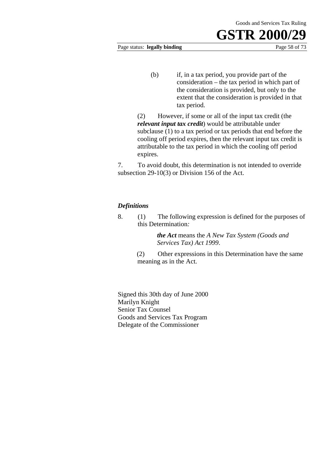Page status: **legally binding** Page 58 of 73

(b) if, in a tax period, you provide part of the consideration – the tax period in which part of the consideration is provided, but only to the extent that the consideration is provided in that tax period.

(2) However, if some or all of the input tax credit (the *relevant input tax credit*) would be attributable under subclause (1) to a tax period or tax periods that end before the cooling off period expires, then the relevant input tax credit is attributable to the tax period in which the cooling off period expires.

7. To avoid doubt, this determination is not intended to override subsection 29-10(3) or Division 156 of the Act.

### *Definitions*

8. (1) The following expression is defined for the purposes of this Determination*:* 

> *the Act* means the *A New Tax System (Goods and Services Tax) Act 1999*.

(2) Other expressions in this Determination have the same meaning as in the Act.

Signed this 30th day of June 2000 Marilyn Knight Senior Tax Counsel Goods and Services Tax Program Delegate of the Commissioner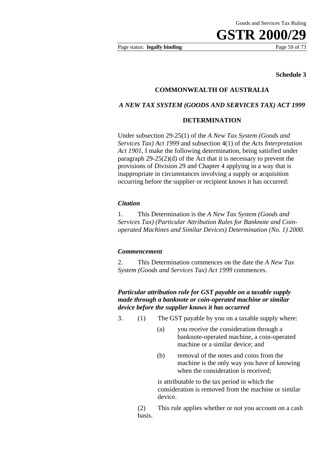Page status: **legally binding** Page 59 of 73

#### **Schedule 3**

## **COMMONWEALTH OF AUSTRALIA**

#### *A NEW TAX SYSTEM (GOODS AND SERVICES TAX) ACT 1999*

#### **DETERMINATION**

Under subsection 29-25(1) of the *A New Tax System (Goods and Services Tax) Act 1999* and subsection 4(1) of the *Acts Interpretation Act 1901,* I make the following determination, being satisfied under paragraph 29-25(2)(d) of the Act that it is necessary to prevent the provisions of Division 29 and Chapter 4 applying in a way that is inappropriate in circumstances involving a supply or acquisition occurring before the supplier or recipient knows it has occurred:

#### *Citation*

1. This Determination is the *A New Tax System (Goods and Services Tax) (Particular Attribution Rules for Banknote and Coinoperated Machines and Similar Devices) Determination (No. 1) 2000.* 

#### *Commencement*

2. This Determination commences on the date the *A New Tax System (Goods and Services Tax) Act 1999* commences.

## *Particular attribution rule for GST payable on a taxable supply made through a banknote or coin-operated machine or similar device before the supplier knows it has occurred*

- 3. (1) The GST payable by you on a taxable supply where:
	- (a) you receive the consideration through a banknote-operated machine, a coin-operated machine or a similar device; and
	- (b) removal of the notes and coins from the machine is the only way you have of knowing when the consideration is received;

is attributable to the tax period in which the consideration is removed from the machine or similar device.

 (2) This rule applies whether or not you account on a cash basis.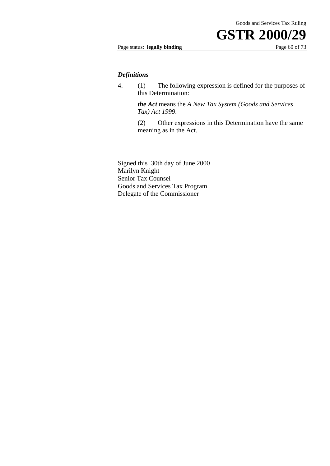## Page status: **legally binding** Page 60 of 73

#### *Definitions*

4. (1) The following expression is defined for the purposes of this Determination:

> *the Act* means the *A New Tax System (Goods and Services Tax) Act 1999*.

 (2) Other expressions in this Determination have the same meaning as in the Act.

Signed this 30th day of June 2000 Marilyn Knight Senior Tax Counsel Goods and Services Tax Program Delegate of the Commissioner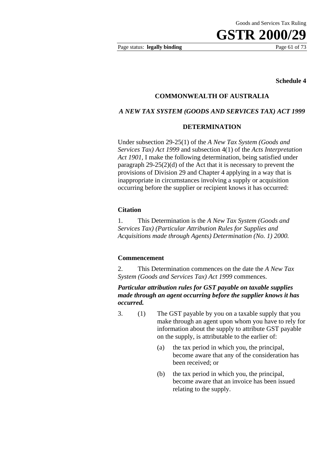Page status: **legally binding** Page 61 of 73

**Schedule 4** 

### **COMMONWEALTH OF AUSTRALIA**

### *A NEW TAX SYSTEM (GOODS AND SERVICES TAX) ACT 1999*

#### **DETERMINATION**

Under subsection 29-25(1) of the *A New Tax System (Goods and Services Tax) Act 1999* and subsection 4(1) of the *Acts Interpretation Act 1901*, I make the following determination, being satisfied under paragraph 29-25(2)(d) of the Act that it is necessary to prevent the provisions of Division 29 and Chapter 4 applying in a way that is inappropriate in circumstances involving a supply or acquisition occurring before the supplier or recipient knows it has occurred:

#### **Citation**

1. This Determination is the *A New Tax System (Goods and Services Tax) (Particular Attribution Rules for Supplies and Acquisitions made through Agents) Determination (No. 1) 2000.* 

#### **Commencement**

2. This Determination commences on the date the *A New Tax System (Goods and Services Tax) Act 1999* commences.

## *Particular attribution rules for GST payable on taxable supplies made through an agent occurring before the supplier knows it has occurred.*

- 3. (1) The GST payable by you on a taxable supply that you make through an agent upon whom you have to rely for information about the supply to attribute GST payable on the supply, is attributable to the earlier of:
	- (a) the tax period in which you, the principal, become aware that any of the consideration has been received; or
	- (b) the tax period in which you, the principal, become aware that an invoice has been issued relating to the supply.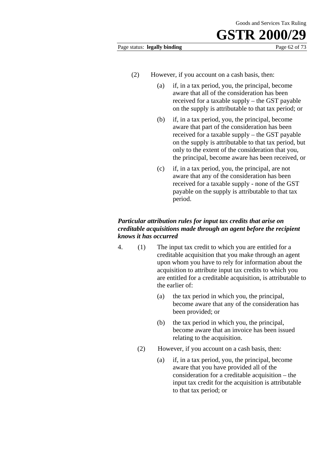Page status: **legally binding** Page 62 of 73

- 
- (2) However, if you account on a cash basis, then:
	- (a) if, in a tax period, you, the principal, become aware that all of the consideration has been received for a taxable supply – the GST payable on the supply is attributable to that tax period; or
	- (b) if, in a tax period, you, the principal, become aware that part of the consideration has been received for a taxable supply – the GST payable on the supply is attributable to that tax period, but only to the extent of the consideration that you, the principal, become aware has been received, or
	- (c) if, in a tax period, you, the principal, are not aware that any of the consideration has been received for a taxable supply - none of the GST payable on the supply is attributable to that tax period.

# *Particular attribution rules for input tax credits that arise on creditable acquisitions made through an agent before the recipient knows it has occurred*

- 4. (1) The input tax credit to which you are entitled for a creditable acquisition that you make through an agent upon whom you have to rely for information about the acquisition to attribute input tax credits to which you are entitled for a creditable acquisition, is attributable to the earlier of:
	- (a) the tax period in which you, the principal, become aware that any of the consideration has been provided; or
	- (b) the tax period in which you, the principal, become aware that an invoice has been issued relating to the acquisition.
	- (2) However, if you account on a cash basis, then:
		- (a) if, in a tax period, you, the principal, become aware that you have provided all of the consideration for a creditable acquisition – the input tax credit for the acquisition is attributable to that tax period; or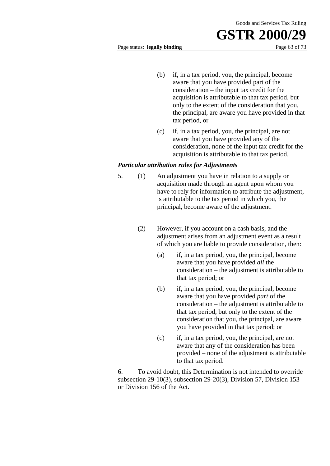#### Page status: **legally binding** Page 63 of 73

- (b) if, in a tax period, you, the principal, become aware that you have provided part of the consideration – the input tax credit for the acquisition is attributable to that tax period, but only to the extent of the consideration that you, the principal, are aware you have provided in that tax period, or
- (c) if, in a tax period, you, the principal, are not aware that you have provided any of the consideration, none of the input tax credit for the acquisition is attributable to that tax period.

### *Particular attribution rules for Adjustments*

- 5. (1) An adjustment you have in relation to a supply or acquisition made through an agent upon whom you have to rely for information to attribute the adjustment, is attributable to the tax period in which you, the principal, become aware of the adjustment.
	- (2) However, if you account on a cash basis, and the adjustment arises from an adjustment event as a result of which you are liable to provide consideration, then:
		- (a) if, in a tax period, you, the principal, become aware that you have provided *all* the consideration – the adjustment is attributable to that tax period; or
		- (b) if, in a tax period, you, the principal, become aware that you have provided *part* of the consideration – the adjustment is attributable to that tax period, but only to the extent of the consideration that you, the principal, are aware you have provided in that tax period; or
		- (c) if, in a tax period, you, the principal, are not aware that any of the consideration has been provided – none of the adjustment is attributable to that tax period.

6. To avoid doubt, this Determination is not intended to override subsection 29-10(3), subsection 29-20(3), Division 57, Division 153 or Division 156 of the Act.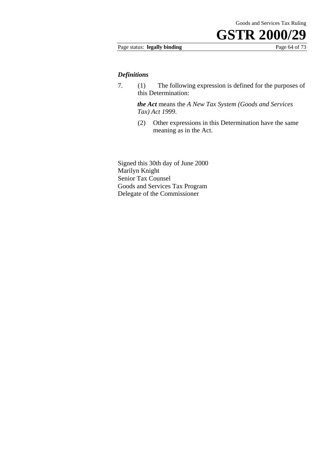# Page status: **legally binding** Page 64 of 73

#### *Definitions*

7. (1) The following expression is defined for the purposes of this Determination:

> *the Act* means the *A New Tax System (Goods and Services Tax) Act 1999*.

(2) Other expressions in this Determination have the same meaning as in the Act.

Signed this 30th day of June 2000 Marilyn Knight Senior Tax Counsel Goods and Services Tax Program Delegate of the Commissioner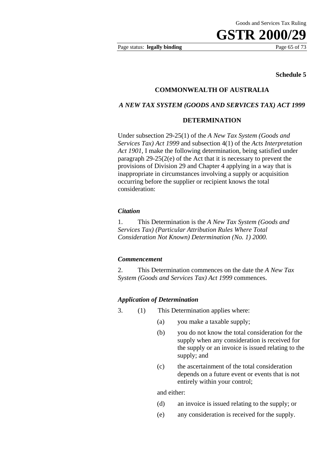Page status: **legally binding** Page 65 of 73

#### **Schedule 5**

## **COMMONWEALTH OF AUSTRALIA**

#### *A NEW TAX SYSTEM (GOODS AND SERVICES TAX) ACT 1999*

#### **DETERMINATION**

Under subsection 29-25(1) of the *A New Tax System (Goods and Services Tax) Act 1999* and subsection 4(1) of the *Acts Interpretation Act 1901,* I make the following determination, being satisfied under paragraph 29-25(2(e) of the Act that it is necessary to prevent the provisions of Division 29 and Chapter 4 applying in a way that is inappropriate in circumstances involving a supply or acquisition occurring before the supplier or recipient knows the total consideration:

#### *Citation*

1. This Determination is the *A New Tax System (Goods and Services Tax) (Particular Attribution Rules Where Total Consideration Not Known) Determination (No. 1) 2000.* 

#### *Commencement*

2. This Determination commences on the date the *A New Tax System (Goods and Services Tax) Act 1999* commences.

#### *Application of Determination*

- 3. (1) This Determination applies where:
	- (a) you make a taxable supply;
	- (b) you do not know the total consideration for the supply when any consideration is received for the supply or an invoice is issued relating to the supply; and
	- (c) the ascertainment of the total consideration depends on a future event or events that is not entirely within your control;

and either:

- (d) an invoice is issued relating to the supply; or
- (e) any consideration is received for the supply.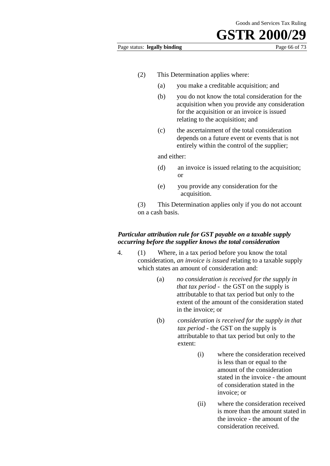#### Page status: **legally binding** Page 66 of 73

- (2) This Determination applies where:
	- (a) you make a creditable acquisition; and
	- (b) you do not know the total consideration for the acquisition when you provide any consideration for the acquisition or an invoice is issued relating to the acquisition; and
	- (c) the ascertainment of the total consideration depends on a future event or events that is not entirely within the control of the supplier;

and either:

- (d) an invoice is issued relating to the acquisition; or
- (e) you provide any consideration for the acquisition.
- (3) This Determination applies only if you do not account on a cash basis.

# *Particular attribution rule for GST payable on a taxable supply occurring before the supplier knows the total consideration*

- 4. (1) Where, in a tax period before you know the total consideration, *an invoice is issued* relating to a taxable supply which states an amount of consideration and:
	- (a) *no consideration is received for the supply in that tax period* - the GST on the supply is attributable to that tax period but only to the extent of the amount of the consideration stated in the invoice; or
	- (b) *consideration is received for the supply in that tax period* - the GST on the supply is attributable to that tax period but only to the extent:
		- (i) where the consideration received is less than or equal to the amount of the consideration stated in the invoice - the amount of consideration stated in the invoice; or
		- (ii) where the consideration received is more than the amount stated in the invoice - the amount of the consideration received.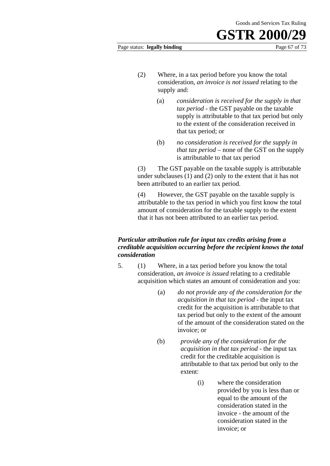# **GSTR 2000** Page status: **legally binding** Page 67 of 73

- (2) Where, in a tax period before you know the total consideration, *an invoice is not issued* relating to the supply and:
	- (a) *consideration is received for the supply in that tax period* - the GST payable on the taxable supply is attributable to that tax period but only to the extent of the consideration received in that tax period; or
	- (b) *no consideration is received for the supply in that tax period* – none of the GST on the supply is attributable to that tax period

(3) The GST payable on the taxable supply is attributable under subclauses (1) and (2) only to the extent that it has not been attributed to an earlier tax period.

(4) However, the GST payable on the taxable supply is attributable to the tax period in which you first know the total amount of consideration for the taxable supply to the extent that it has not been attributed to an earlier tax period.

# *Particular attribution rule for input tax credits arising from a creditable acquisition occurring before the recipient knows the total consideration*

- 5. (1) Where, in a tax period before you know the total consideration, *an invoice is issued* relating to a creditable acquisition which states an amount of consideration and you:
	- (a) *do not provide any of the consideration for the acquisition in that tax period* - the input tax credit for the acquisition is attributable to that tax period but only to the extent of the amount of the amount of the consideration stated on the invoice; or
	- (b) *provide any of the consideration for the acquisition in that tax period* - the input tax credit for the creditable acquisition is attributable to that tax period but only to the extent:
		- (i) where the consideration provided by you is less than or equal to the amount of the consideration stated in the invoice - the amount of the consideration stated in the invoice; or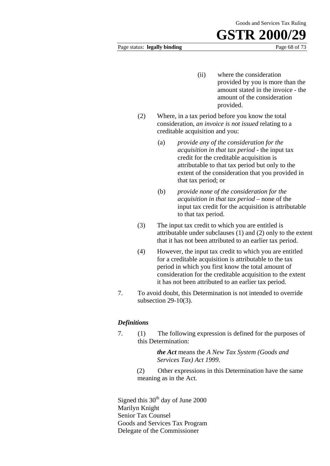#### Page status: **legally binding** Page 68 of 73

# **GSTR 2000**

- (ii) where the consideration provided by you is more than the amount stated in the invoice - the amount of the consideration provided.
- (2) Where, in a tax period before you know the total consideration, *an invoice is not issued* relating to a creditable acquisition and you:
	- (a) *provide any of the consideration for the acquisition in that tax period -* the input tax credit for the creditable acquisition is attributable to that tax period but only to the extent of the consideration that you provided in that tax period; or
	- (b) *provide none of the consideration for the acquisition in that tax period* – none of the input tax credit for the acquisition is attributable to that tax period.
- (3) The input tax credit to which you are entitled is attributable under subclauses (1) and (2) only to the extent that it has not been attributed to an earlier tax period.
- (4) However, the input tax credit to which you are entitled for a creditable acquisition is attributable to the tax period in which you first know the total amount of consideration for the creditable acquisition to the extent it has not been attributed to an earlier tax period.
- 7. To avoid doubt, this Determination is not intended to override subsection 29-10(3).

### *Definitions*

7. (1) The following expression is defined for the purposes of this Determination:

> *the Act* means the *A New Tax System (Goods and Services Tax) Act 1999*.

(2) Other expressions in this Determination have the same meaning as in the Act.

Signed this 30<sup>th</sup> day of June 2000 Marilyn Knight Senior Tax Counsel Goods and Services Tax Program Delegate of the Commissioner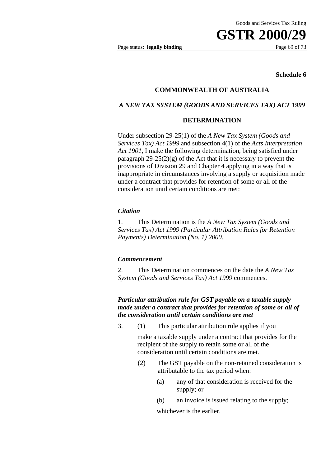Page status: **legally binding** Page 69 of 73

#### **Schedule 6**

## **COMMONWEALTH OF AUSTRALIA**

#### *A NEW TAX SYSTEM (GOODS AND SERVICES TAX) ACT 1999*

#### **DETERMINATION**

Under subsection 29-25(1) of the *A New Tax System (Goods and Services Tax) Act 1999* and subsection 4(1) of the *Acts Interpretation Act 1901,* I make the following determination, being satisfied under paragraph  $29-25(2)(g)$  of the Act that it is necessary to prevent the provisions of Division 29 and Chapter 4 applying in a way that is inappropriate in circumstances involving a supply or acquisition made under a contract that provides for retention of some or all of the consideration until certain conditions are met:

#### *Citation*

1. This Determination is the *A New Tax System (Goods and Services Tax) Act 1999 (Particular Attribution Rules for Retention Payments) Determination (No. 1) 2000.* 

#### *Commencement*

2. This Determination commences on the date the *A New Tax System (Goods and Services Tax) Act 1999* commences.

### *Particular attribution rule for GST payable on a taxable supply made under a contract that provides for retention of some or all of the consideration until certain conditions are met*

3. (1) This particular attribution rule applies if you

make a taxable supply under a contract that provides for the recipient of the supply to retain some or all of the consideration until certain conditions are met.

- (2) The GST payable on the non-retained consideration is attributable to the tax period when:
	- (a) any of that consideration is received for the supply; or
	- (b) an invoice is issued relating to the supply;

whichever is the earlier.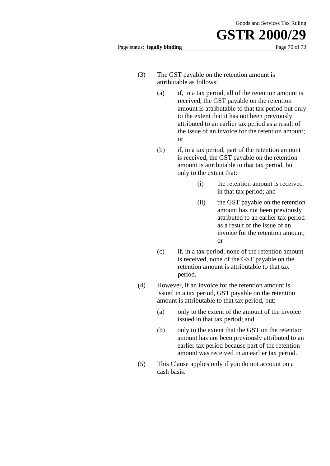#### Page status: **legally binding** Page 70 of 73

- (3) The GST payable on the retention amount is attributable as follows:
	- (a) if, in a tax period, all of the retention amount is received, the GST payable on the retention amount is attributable to that tax period but only to the extent that it has not been previously attributed to an earlier tax period as a result of the issue of an invoice for the retention amount; or
	- (b) if, in a tax period, part of the retention amount is received, the GST payable on the retention amount is attributable to that tax period, but only to the extent that:
		- (i) the retention amount is received in that tax period; and
		- (ii) the GST payable on the retention amount has not been previously attributed to an earlier tax period as a result of the issue of an invoice for the retention amount; or
	- (c) if, in a tax period, none of the retention amount is received, none of the GST payable on the retention amount is attributable to that tax period.
- (4) However, if an invoice for the retention amount is issued in a tax period, GST payable on the retention amount is attributable to that tax period, but:
	- (a) only to the extent of the amount of the invoice issued in that tax period; and
	- (b) only to the extent that the GST on the retention amount has not been previously attributed to an earlier tax period because part of the retention amount was received in an earlier tax period.
- (5) This Clause applies only if you do not account on a cash basis.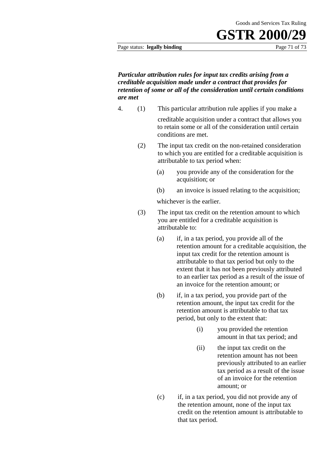#### Page status: **legally binding** Page 71 of 73

*Particular attribution rules for input tax credits arising from a creditable acquisition made under a contract that provides for retention of some or all of the consideration until certain conditions are met*

4. (1) This particular attribution rule applies if you make a

creditable acquisition under a contract that allows you to retain some or all of the consideration until certain conditions are met.

- (2) The input tax credit on the non-retained consideration to which you are entitled for a creditable acquisition is attributable to tax period when:
	- (a) you provide any of the consideration for the acquisition; or
	- (b) an invoice is issued relating to the acquisition;

whichever is the earlier.

- (3) The input tax credit on the retention amount to which you are entitled for a creditable acquisition is attributable to:
	- (a) if, in a tax period, you provide all of the retention amount for a creditable acquisition, the input tax credit for the retention amount is attributable to that tax period but only to the extent that it has not been previously attributed to an earlier tax period as a result of the issue of an invoice for the retention amount; or
	- (b) if, in a tax period, you provide part of the retention amount, the input tax credit for the retention amount is attributable to that tax period, but only to the extent that:
		- (i) you provided the retention amount in that tax period; and
		- (ii) the input tax credit on the retention amount has not been previously attributed to an earlier tax period as a result of the issue of an invoice for the retention amount; or
	- (c) if, in a tax period, you did not provide any of the retention amount, none of the input tax credit on the retention amount is attributable to that tax period.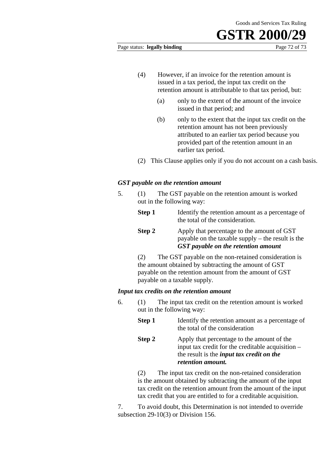# **GSTR 2000**

Page status: **legally binding** Page 72 of 73

- (4) However, if an invoice for the retention amount is issued in a tax period, the input tax credit on the retention amount is attributable to that tax period, but:
	- (a) only to the extent of the amount of the invoice issued in that period; and
	- (b) only to the extent that the input tax credit on the retention amount has not been previously attributed to an earlier tax period because you provided part of the retention amount in an earlier tax period.
- (2) This Clause applies only if you do not account on a cash basis.

## *GST payable on the retention amount*

- 5. (1) The GST payable on the retention amount is worked out in the following way:
	- **Step 1** Identify the retention amount as a percentage of the total of the consideration.
	- **Step 2** Apply that percentage to the amount of GST payable on the taxable supply – the result is the *GST payable on the retention amount*

(2) The GST payable on the non-retained consideration is the amount obtained by subtracting the amount of GST payable on the retention amount from the amount of GST payable on a taxable supply.

### *Input tax credits on the retention amount*

- 6. (1) The input tax credit on the retention amount is worked out in the following way:
	- **Step 1** Identify the retention amount as a percentage of the total of the consideration
	- **Step 2** Apply that percentage to the amount of the input tax credit for the creditable acquisition – the result is the *input tax credit on the retention amount.*

(2) The input tax credit on the non-retained consideration is the amount obtained by subtracting the amount of the input tax credit on the retention amount from the amount of the input tax credit that you are entitled to for a creditable acquisition.

7. To avoid doubt, this Determination is not intended to override subsection 29-10(3) or Division 156.